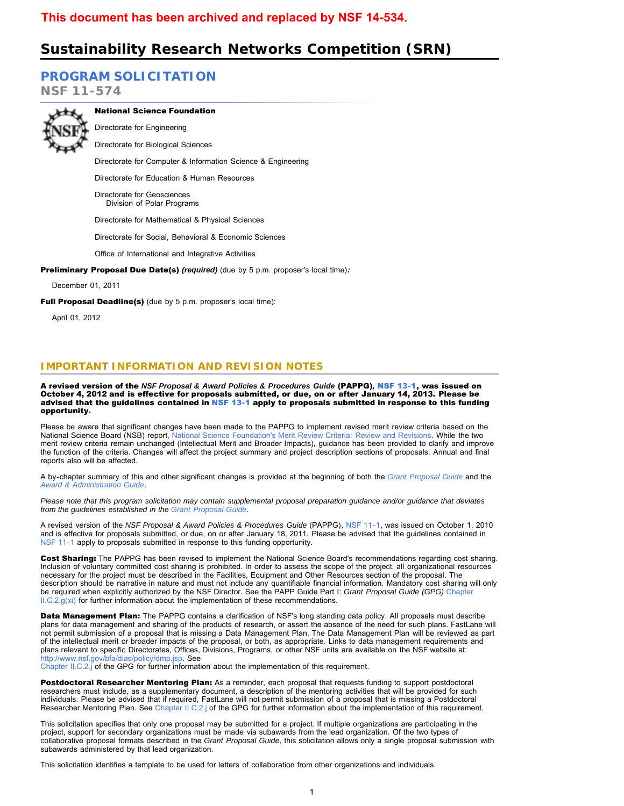# **Sustainability Research Networks Competition (SRN)**

# **[PROGRAM SOLICITATION](#page-3-0)**

**NSF 11-574**



National Science Foundation Directorate for Engineering

Directorate for Biological Sciences

Directorate for Computer & Information Science & Engineering

Directorate for Education & Human Resources

Directorate for Geosciences Division of Polar Programs

Directorate for Mathematical & Physical Sciences

Directorate for Social, Behavioral & Economic Sciences

Office of International and Integrative Activities

Preliminary Proposal Due Date(s) *(required)* (due by 5 p.m. proposer's local time)*:*

December 01, 2011

Full Proposal Deadline(s) (due by 5 p.m. proposer's local time):

April 01, 2012

# **IMPORTANT INFORMATION AND REVISION NOTES**

A revised version of the *NSF Proposal & Award Policies & Procedures Guide* (PAPPG)*,* [NSF 13-1,](http://www.nsf.gov/publications/pub_summ.jsp?ods_key=nsf13001) was issued on October 4, 2012 and is effective for proposals submitted, or due, on or after January 14, 2013. Please be advised that the guidelines contained in [NSF 13-1](http://www.nsf.gov/publications/pub_summ.jsp?ods_key=nsf13001) apply to proposals submitted in response to this funding opportunity.

Please be aware that significant changes have been made to the PAPPG to implement revised merit review criteria based on the National Science Board (NSB) report, [National Science Foundation's Merit Review Criteria: Review and Revisions.](http://www.nsf.gov/nsb/publications/2011/meritreviewcriteria.pdf) While the two merit review criteria remain unchanged (Intellectual Merit and Broader Impacts), guidance has been provided to clarify and improve the function of the criteria. Changes will affect the project summary and project description sections of proposals. Annual and final reports also will be affected.

A by-chapter summary of this and other significant changes is provided at the beginning of both the *[Grant Proposal Guide](http://www.nsf.gov/pubs/policydocs/pappguide/nsf13001/gpg_sigchanges.jsp)* and the *[Award & Administration Guide](http://www.nsf.gov/pubs/policydocs/pappguide/nsf13001/aag_sigchanges.jsp)*.

*Please note that this program solicitation may contain supplemental proposal preparation guidance and/or guidance that deviates from the guidelines established in the [Grant Proposal Guide](http://www.nsf.gov/pubs/policydocs/pappguide/nsf13001/gpg_index.jsp).*

A revised version of the *NSF Proposal & Award Policies & Procedures Guide* (PAPPG)*,* [NSF 11-1,](http://www.nsf.gov/publications/pub_summ.jsp?ods_key=nsf11001) was issued on October 1, 2010 and is effective for proposals submitted, or due, on or after January 18, 2011. Please be advised that the guidelines contained in [NSF 11-1](http://www.nsf.gov/publications/pub_summ.jsp?ods_key=nsf11001) apply to proposals submitted in response to this funding opportunity.

Cost Sharing: The PAPPG has been revised to implement the National Science Board's recommendations regarding cost sharing. Inclusion of voluntary committed cost sharing is prohibited. In order to assess the scope of the project, all organizational resources necessary for the project must be described in the Facilities, Equipment and Other Resources section of the proposal. The description should be narrative in nature and must not include any quantifiable financial information. Mandatory cost sharing will only be required when explicitly authorized by the NSF Director. See the PAPP Guide Part I: *Grant Proposal Guide (GPG)* [Chapter](http://www.nsf.gov/pubs/policydocs/pappguide/nsf11001/gpg_2.jsp#IIC2gxi)  $II.C.2.g(xi)$  for further information about the implementation of these recommendations.

Data Management Plan: The PAPPG contains a clarification of NSF's long standing data policy. All proposals must describe plans for data management and sharing of the products of research, or assert the absence of the need for such plans. FastLane will not permit submission of a proposal that is missing a Data Management Plan. The Data Management Plan will be reviewed as part of the intellectual merit or broader impacts of the proposal, or both, as appropriate. Links to data management requirements and plans relevant to specific Directorates, Offices, Divisions, Programs, or other NSF units are available on the NSF website at: [http://www.nsf.gov/bfa/dias/policy/dmp.jsp.](http://www.nsf.gov/bfa/dias/policy/dmp.jsp) See

[Chapter II.C.2.j](http://www.nsf.gov/pubs/policydocs/pappguide/nsf11001/gpg_2.jsp#IIC2j) of the GPG for further information about the implementation of this requirement.

Postdoctoral Researcher Mentoring Plan: As a reminder, each proposal that requests funding to support postdoctoral researchers must include, as a supplementary document, a description of the mentoring activities that will be provided for such individuals. Please be advised that if required, FastLane will not permit submission of a proposal that is missing a Postdoctoral Researcher Mentoring Plan. See [Chapter II.C.2.j](http://www.nsf.gov/pubs/policydocs/pappguide/nsf11001/gpg_2.jsp#IIC2j) of the GPG for further information about the implementation of this requirement.

This solicitation specifies that only one proposal may be submitted for a project. If multiple organizations are participating in the project, support for secondary organizations must be made via subawards from the lead organization. Of the two types of collaborative proposal formats described in the *Grant Proposal Guide*, this solicitation allows only a single proposal submission with subawards administered by that lead organization.

This solicitation identifies a template to be used for letters of collaboration from other organizations and individuals.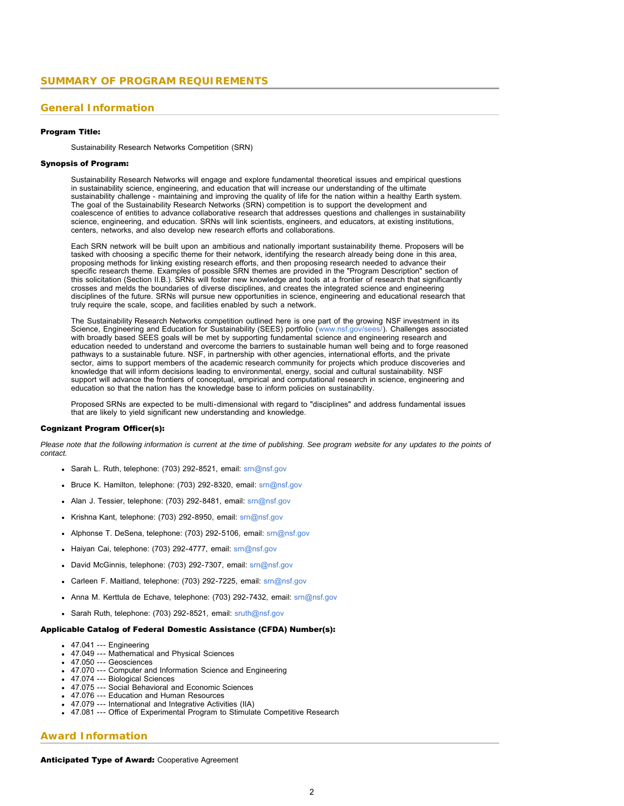# <span id="page-1-0"></span>**General Information**

### Program Title:

Sustainability Research Networks Competition (SRN)

#### Synopsis of Program:

Sustainability Research Networks will engage and explore fundamental theoretical issues and empirical questions in sustainability science, engineering, and education that will increase our understanding of the ultimate sustainability challenge - maintaining and improving the quality of life for the nation within a healthy Earth system. The goal of the Sustainability Research Networks (SRN) competition is to support the development and coalescence of entities to advance collaborative research that addresses questions and challenges in sustainability science, engineering, and education. SRNs will link scientists, engineers, and educators, at existing institutions, centers, networks, and also develop new research efforts and collaborations.

Each SRN network will be built upon an ambitious and nationally important sustainability theme. Proposers will be tasked with choosing a specific theme for their network, identifying the research already being done in this area, proposing methods for linking existing research efforts, and then proposing research needed to advance their specific research theme. Examples of possible SRN themes are provided in the "Program Description" section of this solicitation (Section II.B.). SRNs will foster new knowledge and tools at a frontier of research that significantly crosses and melds the boundaries of diverse disciplines, and creates the integrated science and engineering disciplines of the future. SRNs will pursue new opportunities in science, engineering and educational research that truly require the scale, scope, and facilities enabled by such a network.

The Sustainability Research Networks competition outlined here is one part of the growing NSF investment in its Science, Engineering and Education for Sustainability (SEES) portfolio ([www.nsf.gov/sees/\)](http://www.nsf.gov/sees/). Challenges associated with broadly based SEES goals will be met by supporting fundamental science and engineering research and education needed to understand and overcome the barriers to sustainable human well being and to forge reasoned pathways to a sustainable future. NSF, in partnership with other agencies, international efforts, and the private sector, aims to support members of the academic research community for projects which produce discoveries and knowledge that will inform decisions leading to environmental, energy, social and cultural sustainability. NSF support will advance the frontiers of conceptual, empirical and computational research in science, engineering and education so that the nation has the knowledge base to inform policies on sustainability.

Proposed SRNs are expected to be multi-dimensional with regard to "disciplines" and address fundamental issues that are likely to yield significant new understanding and knowledge.

### Cognizant Program Officer(s):

*Please note that the following information is current at the time of publishing. See program website for any updates to the points of contact.*

- Sarah L. Ruth, telephone: (703) 292-8521, email: [srn@nsf.gov](mailto:srn@nsf.gov)
- Bruce K. Hamilton, telephone: (703) 292-8320, email: [srn@nsf.gov](mailto:srn@nsf.gov)
- Alan J. Tessier, telephone: (703) 292-8481, email: [srn@nsf.gov](mailto:srn@nsf.gov)
- Krishna Kant, telephone: (703) 292-8950, email:  $\frac{\text{sm@nsf.gov}}{\text{sm@nsf.gov}}$
- Alphonse T. DeSena, telephone: (703) 292-5106, email: [srn@nsf.gov](mailto:srn@nsf.gov)
- Haiyan Cai, telephone: (703) 292-4777, email: [srn@nsf.gov](mailto:srn@nsf.gov)
- David McGinnis, telephone: (703) 292-7307, email: [srn@nsf.gov](mailto:srn@nsf.gov)
- Carleen F. Maitland, telephone: (703) 292-7225, email: [srn@nsf.gov](mailto:srn@nsf.gov)
- Anna M. Kerttula de Echave, telephone: (703) 292-7432, email: [srn@nsf.gov](mailto:srn@nsf.gov)
- Sarah Ruth, telephone: (703) 292-8521, email: [sruth@nsf.gov](mailto:sruth@nsf.gov)

### Applicable Catalog of Federal Domestic Assistance (CFDA) Number(s):

- 47.041 --- Engineering
- 47.049 --- Mathematical and Physical Sciences
- 47.050 --- Geosciences
- 47.070 --- Computer and Information Science and Engineering
- 47.074 --- Biological Sciences
- 47.075 --- Social Behavioral and Economic Sciences
- 47.076 --- Education and Human Resources
- 47.079 --- International and Integrative Activities (IIA) 47.081 --- Office of Experimental Program to Stimulate Competitive Research
- 

# **Award Information**

# Anticipated Type of Award: Cooperative Agreement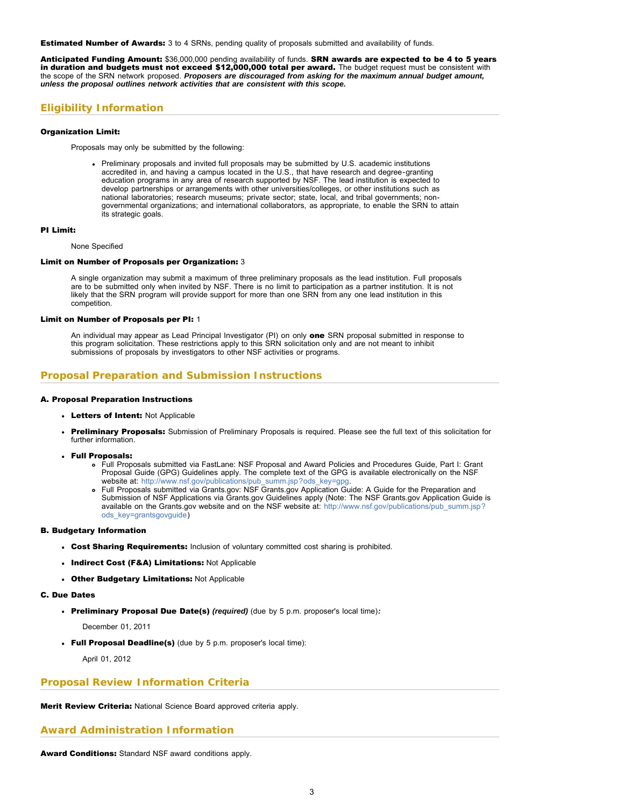**Estimated Number of Awards:** 3 to 4 SRNs, pending quality of proposals submitted and availability of funds.

Anticipated Funding Amount: \$36,000,000 pending availability of funds. SRN awards are expected to be 4 to 5 years in duration and budgets must not exceed \$12,000,000 total per award. The budget request must be consistent with the scope of the SRN network proposed. *Proposers are discouraged from asking for the maximum annual budget amount, unless the proposal outlines network activities that are consistent with this scope.*

# **Eligibility Information**

## Organization Limit:

Proposals may only be submitted by the following:

Preliminary proposals and invited full proposals may be submitted by U.S. academic institutions accredited in, and having a campus located in the U.S., that have research and degree-granting education programs in any area of research supported by NSF. The lead institution is expected to develop partnerships or arrangements with other universities/colleges, or other institutions such as national laboratories; research museums; private sector; state, local, and tribal governments; nongovernmental organizations; and international collaborators, as appropriate, to enable the SRN to attain its strategic goals.

#### PI Limit:

None Specified

#### Limit on Number of Proposals per Organization: 3

A single organization may submit a maximum of three preliminary proposals as the lead institution. Full proposals are to be submitted only when invited by NSF. There is no limit to participation as a partner institution. It is not likely that the SRN program will provide support for more than one SRN from any one lead institution in this competition.

### Limit on Number of Proposals per PI: 1

An individual may appear as Lead Principal Investigator (PI) on only one SRN proposal submitted in response to this program solicitation. These restrictions apply to this SRN solicitation only and are not meant to inhibit submissions of proposals by investigators to other NSF activities or programs.

# **Proposal Preparation and Submission Instructions**

### A. Proposal Preparation Instructions

- Letters of Intent: Not Applicable
- Preliminary Proposals: Submission of Preliminary Proposals is required. Please see the full text of this solicitation for further information.
- Full Proposals:
	- Full Proposals submitted via FastLane: NSF Proposal and Award Policies and Procedures Guide, Part I: Grant Proposal Guide (GPG) Guidelines apply. The complete text of the GPG is available electronically on the NSF website at: [http://www.nsf.gov/publications/pub\\_summ.jsp?ods\\_key=gpg.](http://www.nsf.gov/publications/pub_summ.jsp?ods_key=gpg)
	- Full Proposals submitted via Grants.gov: NSF Grants.gov Application Guide: A Guide for the Preparation and Submission of NSF Applications via Grants.gov Guidelines apply (Note: The NSF Grants.gov Application Guide is available on the Grants.gov website and on the NSF website at: [http://www.nsf.gov/publications/pub\\_summ.jsp?](http://www.nsf.gov/publications/pub_summ.jsp?ods_key=grantsgovguide) [ods\\_key=grantsgovguide\)](http://www.nsf.gov/publications/pub_summ.jsp?ods_key=grantsgovguide)

### B. Budgetary Information

- Cost Sharing Requirements: Inclusion of voluntary committed cost sharing is prohibited.
- Indirect Cost (F&A) Limitations: Not Applicable
- Other Budgetary Limitations: Not Applicable
- C. Due Dates
	- Preliminary Proposal Due Date(s) *(required)* (due by 5 p.m. proposer's local time)*:*

December 01, 2011

Full Proposal Deadline(s) (due by 5 p.m. proposer's local time):

April 01, 2012

# **Proposal Review Information Criteria**

Merit Review Criteria: National Science Board approved criteria apply.

# **Award Administration Information**

Award Conditions: Standard NSF award conditions apply.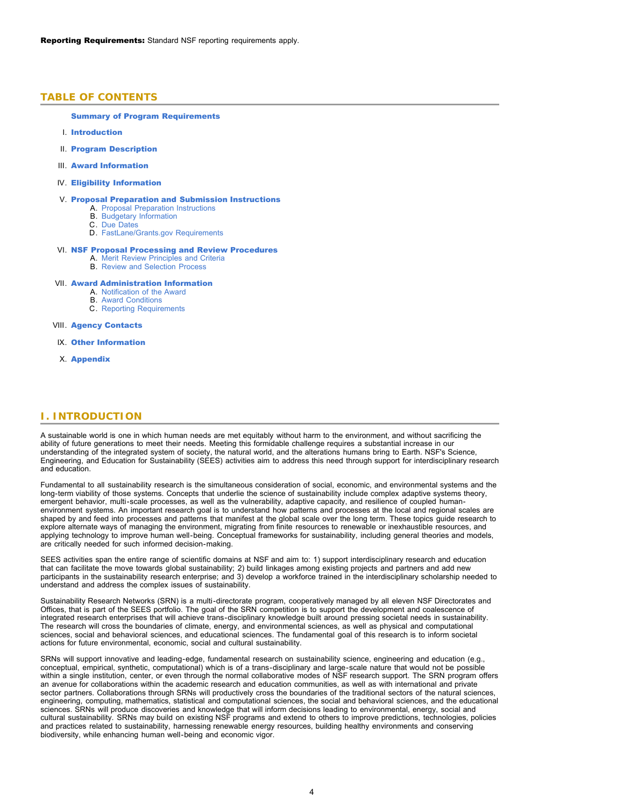### <span id="page-3-0"></span>**TABLE OF CONTENTS**

### [Summary of Program Requirements](#page-1-0)

- I. [Introduction](#page-3-1)
- II. [Program Description](#page-4-0)
- III. [Award Information](#page-5-0)
- IV. [Eligibility Information](#page-5-1)

#### V. [Proposal Preparation and Submission Instructions](#page-6-0)

- A. [Proposal Preparation Instructions](#page-6-0)
- B. [Budgetary Information](#page-10-0)
- C. [Due Dates](#page-10-1)
- D. [FastLane/Grants.gov Requirements](#page-10-2)

## VI. [NSF Proposal Processing and Review Procedures](#page-11-0)

- A. [Merit Review Principles and Criteria](#page-11-1) B. [Review and Selection Process](#page-13-0)
	-

### VII. [Award Administration Information](#page-14-0)

- A. [Notification of the Award](#page-14-1) B. [Award Conditions](#page-14-2)
- C. [Reporting Requirements](#page-14-3)
- VIII. [Agency Contacts](#page-14-4)
- IX. [Other Information](#page-15-0)
- X. [Appendix](#page-16-0)

## <span id="page-3-1"></span>**I. INTRODUCTION**

A sustainable world is one in which human needs are met equitably without harm to the environment, and without sacrificing the ability of future generations to meet their needs. Meeting this formidable challenge requires a substantial increase in our understanding of the integrated system of society, the natural world, and the alterations humans bring to Earth. NSF's Science, Engineering, and Education for Sustainability (SEES) activities aim to address this need through support for interdisciplinary research and education.

Fundamental to all sustainability research is the simultaneous consideration of social, economic, and environmental systems and the long-term viability of those systems. Concepts that underlie the science of sustainability include complex adaptive systems theory, emergent behavior, multi-scale processes, as well as the vulnerability, adaptive capacity, and resilience of coupled humanenvironment systems. An important research goal is to understand how patterns and processes at the local and regional scales are shaped by and feed into processes and patterns that manifest at the global scale over the long term. These topics guide research to explore alternate ways of managing the environment, migrating from finite resources to renewable or inexhaustible resources, and applying technology to improve human well-being. Conceptual frameworks for sustainability, including general theories and models, are critically needed for such informed decision-making.

SEES activities span the entire range of scientific domains at NSF and aim to: 1) support interdisciplinary research and education that can facilitate the move towards global sustainability; 2) build linkages among existing projects and partners and add new participants in the sustainability research enterprise; and 3) develop a workforce trained in the interdisciplinary scholarship needed to understand and address the complex issues of sustainability.

Sustainability Research Networks (SRN) is a multi-directorate program, cooperatively managed by all eleven NSF Directorates and Offices, that is part of the SEES portfolio. The goal of the SRN competition is to support the development and coalescence of integrated research enterprises that will achieve trans-disciplinary knowledge built around pressing societal needs in sustainability. The research will cross the boundaries of climate, energy, and environmental sciences, as well as physical and computational sciences, social and behavioral sciences, and educational sciences. The fundamental goal of this research is to inform societal actions for future environmental, economic, social and cultural sustainability.

SRNs will support innovative and leading-edge, fundamental research on sustainability science, engineering and education (e.g., conceptual, empirical, synthetic, computational) which is of a trans-disciplinary and large-scale nature that would not be possible within a single institution, center, or even through the normal collaborative modes of NSF research support. The SRN program offers an avenue for collaborations within the academic research and education communities, as well as with international and private sector partners. Collaborations through SRNs will productively cross the boundaries of the traditional sectors of the natural sciences, engineering, computing, mathematics, statistical and computational sciences, the social and behavioral sciences, and the educational sciences. SRNs will produce discoveries and knowledge that will inform decisions leading to environmental, energy, social and cultural sustainability. SRNs may build on existing NSF programs and extend to others to improve predictions, technologies, policies and practices related to sustainability, harnessing renewable energy resources, building healthy environments and conserving biodiversity, while enhancing human well-being and economic vigor.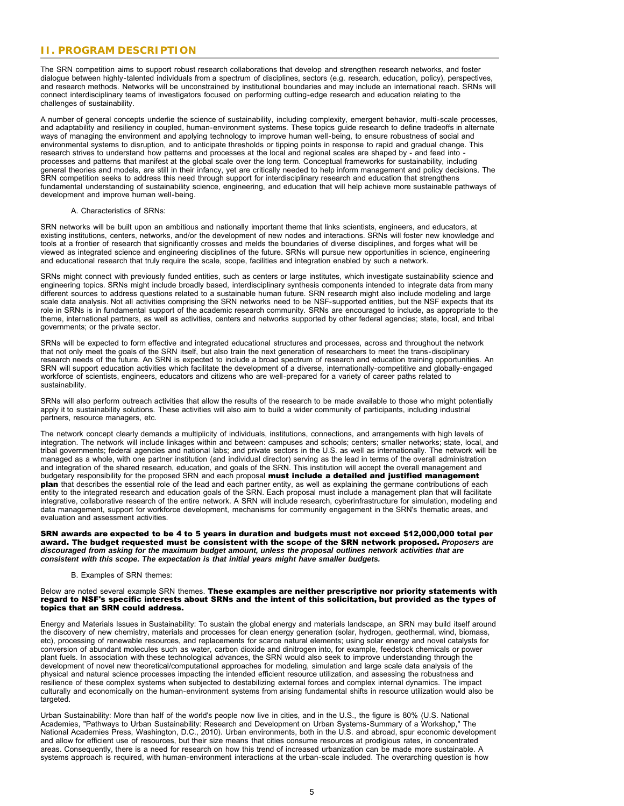# <span id="page-4-0"></span>**II. PROGRAM DESCRIPTION**

The SRN competition aims to support robust research collaborations that develop and strengthen research networks, and foster dialogue between highly-talented individuals from a spectrum of disciplines, sectors (e.g. research, education, policy), perspectives, and research methods. Networks will be unconstrained by institutional boundaries and may include an international reach. SRNs will connect interdisciplinary teams of investigators focused on performing cutting-edge research and education relating to the challenges of sustainability.

A number of general concepts underlie the science of sustainability, including complexity, emergent behavior, multi-scale processes, and adaptability and resiliency in coupled, human-environment systems. These topics guide research to define tradeoffs in alternate ways of managing the environment and applying technology to improve human well-being, to ensure robustness of social and environmental systems to disruption, and to anticipate thresholds or tipping points in response to rapid and gradual change. This research strives to understand how patterns and processes at the local and regional scales are shaped by - and feed into processes and patterns that manifest at the global scale over the long term. Conceptual frameworks for sustainability, including general theories and models, are still in their infancy, yet are critically needed to help inform management and policy decisions. The SRN competition seeks to address this need through support for interdisciplinary research and education that strengthens fundamental understanding of sustainability science, engineering, and education that will help achieve more sustainable pathways of development and improve human well-being.

#### A. Characteristics of SRNs:

SRN networks will be built upon an ambitious and nationally important theme that links scientists, engineers, and educators, at existing institutions, centers, networks, and/or the development of new nodes and interactions. SRNs will foster new knowledge and tools at a frontier of research that significantly crosses and melds the boundaries of diverse disciplines, and forges what will be viewed as integrated science and engineering disciplines of the future. SRNs will pursue new opportunities in science, engineering and educational research that truly require the scale, scope, facilities and integration enabled by such a network.

SRNs might connect with previously funded entities, such as centers or large institutes, which investigate sustainability science and engineering topics. SRNs might include broadly based, interdisciplinary synthesis components intended to integrate data from many different sources to address questions related to a sustainable human future. SRN research might also include modeling and large scale data analysis. Not all activities comprising the SRN networks need to be NSF-supported entities, but the NSF expects that its role in SRNs is in fundamental support of the academic research community. SRNs are encouraged to include, as appropriate to the theme, international partners, as well as activities, centers and networks supported by other federal agencies; state, local, and tribal governments; or the private sector.

SRNs will be expected to form effective and integrated educational structures and processes, across and throughout the network that not only meet the goals of the SRN itself, but also train the next generation of researchers to meet the trans-disciplinary research needs of the future. An SRN is expected to include a broad spectrum of research and education training opportunities. An SRN will support education activities which facilitate the development of a diverse, internationally-competitive and globally-engaged workforce of scientists, engineers, educators and citizens who are well-prepared for a variety of career paths related to sustainability.

SRNs will also perform outreach activities that allow the results of the research to be made available to those who might potentially apply it to sustainability solutions. These activities will also aim to build a wider community of participants, including industrial partners, resource managers, etc.

The network concept clearly demands a multiplicity of individuals, institutions, connections, and arrangements with high levels of integration. The network will include linkages within and between: campuses and schools; centers; smaller networks; state, local, and tribal governments; federal agencies and national labs; and private sectors in the U.S. as well as internationally. The network will be managed as a whole, with one partner institution (and individual director) serving as the lead in terms of the overall administration and integration of the shared research, education, and goals of the SRN. This institution will accept the overall management and budgetary responsibility for the proposed SRN and each proposal must include a detailed and justified management **plan** that describes the essential role of the lead and each partner entity, as well as explaining the germane contributions of each entity to the integrated research and education goals of the SRN. Each proposal must include a management plan that will facilitate integrative, collaborative research of the entire network. A SRN will include research, cyberinfrastructure for simulation, modeling and data management, support for workforce development, mechanisms for community engagement in the SRN's thematic areas, and evaluation and assessment activities.

SRN awards are expected to be 4 to 5 years in duration and budgets must not exceed \$12,000,000 total per award. The budget requested must be consistent with the scope of the SRN network proposed. *Proposers are discouraged from asking for the maximum budget amount, unless the proposal outlines network activities that are consistent with this scope. The expectation is that initial years might have smaller budgets.*

### B. Examples of SRN themes:

Below are noted several example SRN themes. These examples are neither prescriptive nor priority statements with regard to NSF's specific interests about SRNs and the intent of this solicitation, but provided as the types of topics that an SRN could address.

Energy and Materials Issues in Sustainability: To sustain the global energy and materials landscape, an SRN may build itself around the discovery of new chemistry, materials and processes for clean energy generation (solar, hydrogen, geothermal, wind, biomass, etc), processing of renewable resources, and replacements for scarce natural elements; using solar energy and novel catalysts for conversion of abundant molecules such as water, carbon dioxide and dinitrogen into, for example, feedstock chemicals or power plant fuels. In association with these technological advances, the SRN would also seek to improve understanding through the development of novel new theoretical/computational approaches for modeling, simulation and large scale data analysis of the physical and natural science processes impacting the intended efficient resource utilization, and assessing the robustness and resilience of these complex systems when subjected to destabilizing external forces and complex internal dynamics. The impact culturally and economically on the human-environment systems from arising fundamental shifts in resource utilization would also be targeted.

Urban Sustainability: More than half of the world's people now live in cities, and in the U.S., the figure is 80% (U.S. National Academies, "Pathways to Urban Sustainability: Research and Development on Urban Systems-Summary of a Workshop," The National Academies Press, Washington, D.C., 2010). Urban environments, both in the U.S. and abroad, spur economic development and allow for efficient use of resources, but their size means that cities consume resources at prodigious rates, in concentrated areas. Consequently, there is a need for research on how this trend of increased urbanization can be made more sustainable. A systems approach is required, with human-environment interactions at the urban-scale included. The overarching question is how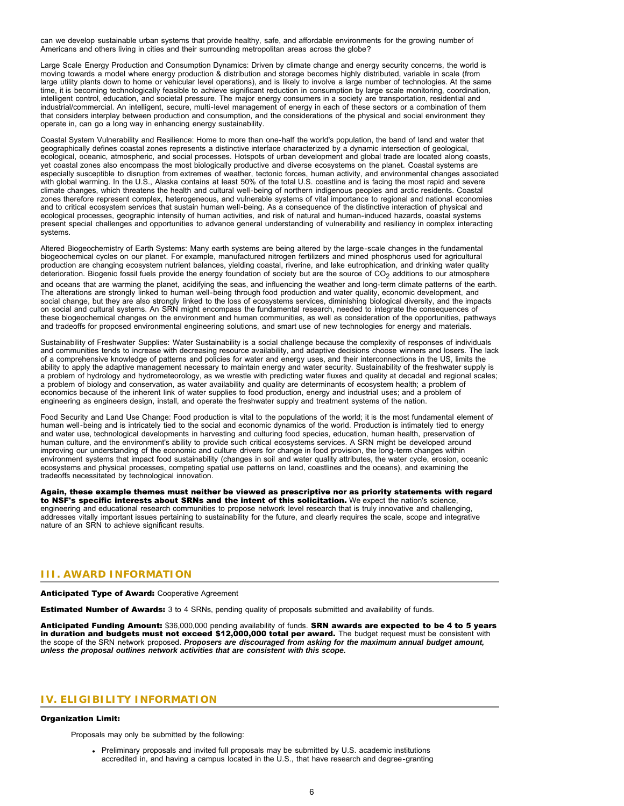can we develop sustainable urban systems that provide healthy, safe, and affordable environments for the growing number of Americans and others living in cities and their surrounding metropolitan areas across the globe?

Large Scale Energy Production and Consumption Dynamics: Driven by climate change and energy security concerns, the world is moving towards a model where energy production & distribution and storage becomes highly distributed, variable in scale (from large utility plants down to home or vehicular level operations), and is likely to involve a large number of technologies. At the same time, it is becoming technologically feasible to achieve significant reduction in consumption by large scale monitoring, coordination, intelligent control, education, and societal pressure. The major energy consumers in a society are transportation, residential and industrial/commercial. An intelligent, secure, multi-level management of energy in each of these sectors or a combination of them that considers interplay between production and consumption, and the considerations of the physical and social environment they operate in, can go a long way in enhancing energy sustainability.

Coastal System Vulnerability and Resilience: Home to more than one-half the world's population, the band of land and water that geographically defines coastal zones represents a distinctive interface characterized by a dynamic intersection of geological, ecological, oceanic, atmospheric, and social processes. Hotspots of urban development and global trade are located along coasts, yet coastal zones also encompass the most biologically productive and diverse ecosystems on the planet. Coastal systems are especially susceptible to disruption from extremes of weather, tectonic forces, human activity, and environmental changes associated with global warming. In the U.S., Alaska contains at least 50% of the total U.S. coastline and is facing the most rapid and severe climate changes, which threatens the health and cultural well-being of northern indigenous peoples and arctic residents. Coastal zones therefore represent complex, heterogeneous, and vulnerable systems of vital importance to regional and national economies and to critical ecosystem services that sustain human well-being. As a consequence of the distinctive interaction of physical and ecological processes, geographic intensity of human activities, and risk of natural and human-induced hazards, coastal systems present special challenges and opportunities to advance general understanding of vulnerability and resiliency in complex interacting systems.

Altered Biogeochemistry of Earth Systems: Many earth systems are being altered by the large-scale changes in the fundamental biogeochemical cycles on our planet. For example, manufactured nitrogen fertilizers and mined phosphorus used for agricultural production are changing ecosystem nutrient balances, yielding coastal, riverine, and lake eutrophication, and drinking water quality deterioration. Biogenic fossil fuels provide the energy foundation of society but are the source of CO<sub>2</sub> additions to our atmosphere and oceans that are warming the planet, acidifying the seas, and influencing the weather and long-term climate patterns of the earth. The alterations are strongly linked to human well-being through food production and water quality, economic development, and social change, but they are also strongly linked to the loss of ecosystems services, diminishing biological diversity, and the impacts on social and cultural systems. An SRN might encompass the fundamental research, needed to integrate the consequences of these biogeochemical changes on the environment and human communities, as well as consideration of the opportunities, pathways and tradeoffs for proposed environmental engineering solutions, and smart use of new technologies for energy and materials.

Sustainability of Freshwater Supplies: Water Sustainability is a social challenge because the complexity of responses of individuals and communities tends to increase with decreasing resource availability, and adaptive decisions choose winners and losers. The lack of a comprehensive knowledge of patterns and policies for water and energy uses, and their interconnections in the US, limits the ability to apply the adaptive management necessary to maintain energy and water security. Sustainability of the freshwater supply is a problem of hydrology and hydrometeorology, as we wrestle with predicting water fluxes and quality at decadal and regional scales; a problem of biology and conservation, as water availability and quality are determinants of ecosystem health; a problem of economics because of the inherent link of water supplies to food production, energy and industrial uses; and a problem of engineering as engineers design, install, and operate the freshwater supply and treatment systems of the nation.

Food Security and Land Use Change: Food production is vital to the populations of the world; it is the most fundamental element of human well-being and is intricately tied to the social and economic dynamics of the world. Production is intimately tied to energy and water use, technological developments in harvesting and culturing food species, education, human health, preservation of human culture, and the environment's ability to provide such critical ecosystems services. A SRN might be developed around improving our understanding of the economic and culture drivers for change in food provision, the long-term changes within environment systems that impact food sustainability (changes in soil and water quality attributes, the water cycle, erosion, oceanic ecosystems and physical processes, competing spatial use patterns on land, coastlines and the oceans), and examining the tradeoffs necessitated by technological innovation.

Again, these example themes must neither be viewed as prescriptive nor as priority statements with regard to NSF's specific interests about SRNs and the intent of this solicitation. We expect the nation's science, engineering and educational research communities to propose network level research that is truly innovative and challenging, addresses vitally important issues pertaining to sustainability for the future, and clearly requires the scale, scope and integrative nature of an SRN to achieve significant results.

# <span id="page-5-0"></span>**III. AWARD INFORMATION**

Anticipated Type of Award: Cooperative Agreement

**Estimated Number of Awards:** 3 to 4 SRNs, pending quality of proposals submitted and availability of funds.

Anticipated Funding Amount: \$36,000,000 pending availability of funds. SRN awards are expected to be 4 to 5 years in duration and budgets must not exceed \$12,000,000 total per award. The budget request must be consistent with the scope of the SRN network proposed. *Proposers are discouraged from asking for the maximum annual budget amount, unless the proposal outlines network activities that are consistent with this scope.*

# <span id="page-5-1"></span>**IV. ELIGIBILITY INFORMATION**

#### Organization Limit:

Proposals may only be submitted by the following:

Preliminary proposals and invited full proposals may be submitted by U.S. academic institutions accredited in, and having a campus located in the U.S., that have research and degree-granting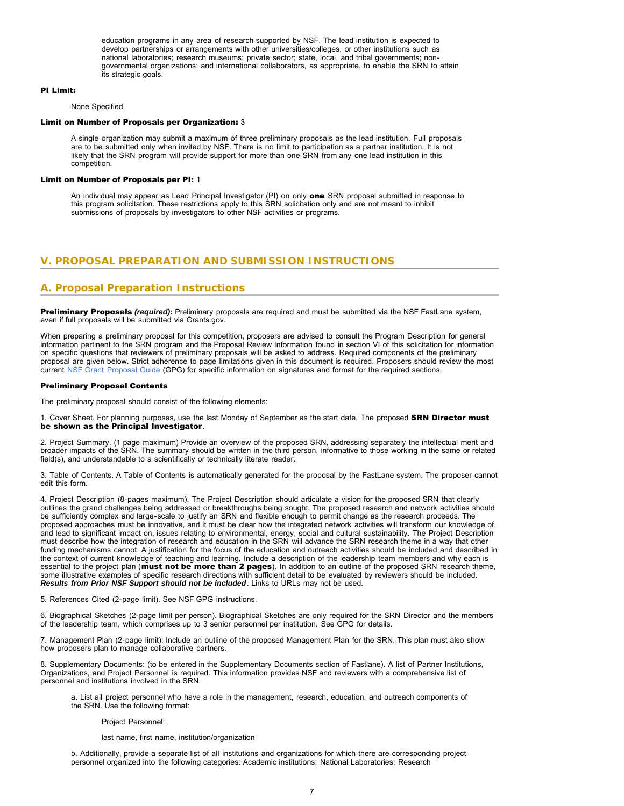education programs in any area of research supported by NSF. The lead institution is expected to develop partnerships or arrangements with other universities/colleges, or other institutions such as national laboratories; research museums; private sector; state, local, and tribal governments; nongovernmental organizations; and international collaborators, as appropriate, to enable the SRN to attain its strategic goals.

#### PI Limit:

None Specified

#### Limit on Number of Proposals per Organization: 3

A single organization may submit a maximum of three preliminary proposals as the lead institution. Full proposals are to be submitted only when invited by NSF. There is no limit to participation as a partner institution. It is not likely that the SRN program will provide support for more than one SRN from any one lead institution in this competition.

### Limit on Number of Proposals per PI: 1

An individual may appear as Lead Principal Investigator (PI) on only one SRN proposal submitted in response to this program solicitation. These restrictions apply to this SRN solicitation only and are not meant to inhibit submissions of proposals by investigators to other NSF activities or programs.

# <span id="page-6-0"></span>**V. PROPOSAL PREPARATION AND SUBMISSION INSTRUCTIONS**

# **A. Proposal Preparation Instructions**

Preliminary Proposals *(required):* Preliminary proposals are required and must be submitted via the NSF FastLane system, even if full proposals will be submitted via Grants.gov.

When preparing a preliminary proposal for this competition, proposers are advised to consult the Program Description for general information pertinent to the SRN program and the Proposal Review Information found in section VI of this solicitation for information on specific questions that reviewers of preliminary proposals will be asked to address. Required components of the preliminary proposal are given below. Strict adherence to page limitations given in this document is required. Proposers should review the most current [NSF Grant Proposal Guide](http://www.nsf.gov/publications/pub_summ.jsp?ods_key=gpg) (GPG) for specific information on signatures and format for the required sections.

#### Preliminary Proposal Contents

The preliminary proposal should consist of the following elements:

#### 1. Cover Sheet. For planning purposes, use the last Monday of September as the start date. The proposed SRN Director must be shown as the Principal Investigator.

2. Project Summary. (1 page maximum) Provide an overview of the proposed SRN, addressing separately the intellectual merit and broader impacts of the SRN. The summary should be written in the third person, informative to those working in the same or related field(s), and understandable to a scientifically or technically literate reader.

3. Table of Contents. A Table of Contents is automatically generated for the proposal by the FastLane system. The proposer cannot edit this form.

4. Project Description (8-pages maximum). The Project Description should articulate a vision for the proposed SRN that clearly outlines the grand challenges being addressed or breakthroughs being sought. The proposed research and network activities should be sufficiently complex and large-scale to justify an SRN and flexible enough to permit change as the research proceeds. The proposed approaches must be innovative, and it must be clear how the integrated network activities will transform our knowledge of, and lead to significant impact on, issues relating to environmental, energy, social and cultural sustainability. The Project Description must describe how the integration of research and education in the SRN will advance the SRN research theme in a way that other funding mechanisms cannot. A justification for the focus of the education and outreach activities should be included and described in the context of current knowledge of teaching and learning. Include a description of the leadership team members and why each is essential to the project plan (must not be more than 2 pages). In addition to an outline of the proposed SRN research theme, some illustrative examples of specific research directions with sufficient detail to be evaluated by reviewers should be included. *Results from Prior NSF Support should not be included*. Links to URLs may not be used.

5. References Cited (2-page limit). See NSF GPG instructions.

6. Biographical Sketches (2-page limit per person). Biographical Sketches are only required for the SRN Director and the members of the leadership team, which comprises up to 3 senior personnel per institution. See GPG for details.

7. Management Plan (2-page limit): Include an outline of the proposed Management Plan for the SRN. This plan must also show how proposers plan to manage collaborative partners.

8. Supplementary Documents: (to be entered in the Supplementary Documents section of Fastlane). A list of Partner Institutions, Organizations, and Project Personnel is required. This information provides NSF and reviewers with a comprehensive list of personnel and institutions involved in the SRN.

a. List all project personnel who have a role in the management, research, education, and outreach components of the SRN. Use the following format:

#### Project Personnel:

last name, first name, institution/organization

b. Additionally, provide a separate list of all institutions and organizations for which there are corresponding project personnel organized into the following categories: Academic institutions; National Laboratories; Research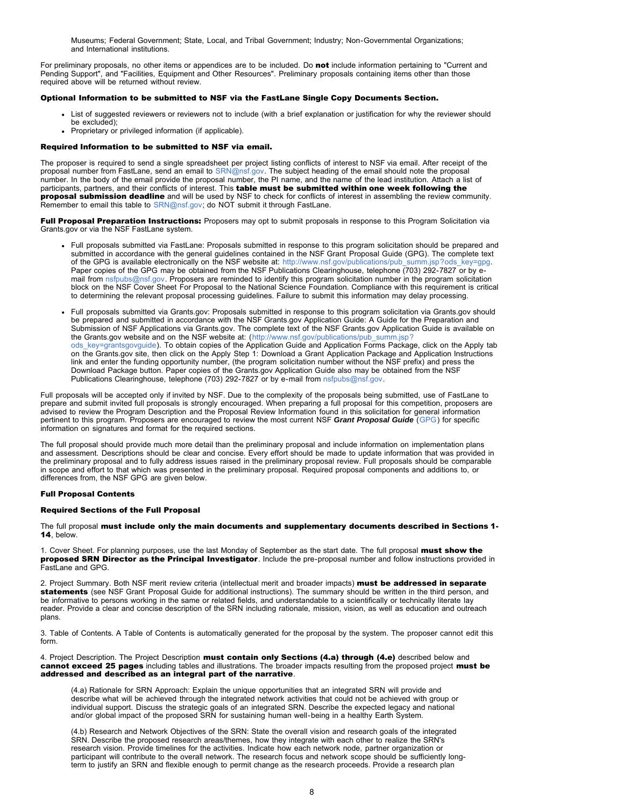Museums; Federal Government; State, Local, and Tribal Government; Industry; Non-Governmental Organizations; and International institutions.

For preliminary proposals, no other items or appendices are to be included. Do not include information pertaining to "Current and Pending Support", and "Facilities, Equipment and Other Resources". Preliminary proposals containing items other than those required above will be returned without review.

### Optional Information to be submitted to NSF via the FastLane Single Copy Documents Section.

- List of suggested reviewers or reviewers not to include (with a brief explanation or justification for why the reviewer should be excluded);
- Proprietary or privileged information (if applicable).

#### Required Information to be submitted to NSF via email.

The proposer is required to send a single spreadsheet per project listing conflicts of interest to NSF via email. After receipt of the proposal number from FastLane, send an email to [SRN@nsf.gov.](mailto:SRN@nsf.gov) The subject heading of the email should note the proposal number. In the body of the email provide the proposal number, the PI name, and the name of the lead institution. Attach a list of participants, partners, and their conflicts of interest. This table must be submitted within one week following the proposal submission deadline and will be used by NSF to check for conflicts of interest in assembling the review community. Remember to email this table to [SRN@nsf.gov;](mailto:SRN@nsf.gov) do NOT submit it through FastLane.

Full Proposal Preparation Instructions: Proposers may opt to submit proposals in response to this Program Solicitation via Grants.gov or via the NSF FastLane system.

- Full proposals submitted via FastLane: Proposals submitted in response to this program solicitation should be prepared and submitted in accordance with the general guidelines contained in the NSF Grant Proposal Guide (GPG). The complete text of the GPG is available electronically on the NSF website at: [http://www.nsf.gov/publications/pub\\_summ.jsp?ods\\_key=gpg.](http://www.nsf.gov/publications/pub_summ.jsp?ods_key=gpg) Paper copies of the GPG may be obtained from the NSF Publications Clearinghouse, telephone (703) 292-7827 or by email from [nsfpubs@nsf.gov.](mailto:nsfpubs@nsf.gov) Proposers are reminded to identify this program solicitation number in the program solicitation block on the NSF Cover Sheet For Proposal to the National Science Foundation. Compliance with this requirement is critical to determining the relevant proposal processing guidelines. Failure to submit this information may delay processing.
- Full proposals submitted via Grants.gov: Proposals submitted in response to this program solicitation via Grants.gov should be prepared and submitted in accordance with the NSF Grants.gov Application Guide: A Guide for the Preparation and Submission of NSF Applications via Grants.gov. The complete text of the NSF Grants.gov Application Guide is available on the Grants.gov website and on the NSF website at: ([http://www.nsf.gov/publications/pub\\_summ.jsp?](http://www.nsf.gov/publications/pub_summ.jsp?ods_key=grantsgovguide) [ods\\_key=grantsgovguide\)](http://www.nsf.gov/publications/pub_summ.jsp?ods_key=grantsgovguide). To obtain copies of the Application Guide and Application Forms Package, click on the Apply tab on the Grants.gov site, then click on the Apply Step 1: Download a Grant Application Package and Application Instructions link and enter the funding opportunity number, (the program solicitation number without the NSF prefix) and press the Download Package button. Paper copies of the Grants.gov Application Guide also may be obtained from the NSF Publications Clearinghouse, telephone (703) 292-7827 or by e-mail from [nsfpubs@nsf.gov.](mailto:nsfpubs@nsf.gov)

Full proposals will be accepted only if invited by NSF. Due to the complexity of the proposals being submitted, use of FastLane to prepare and submit invited full proposals is strongly encouraged. When preparing a full proposal for this competition, proposers are advised to review the Program Description and the Proposal Review Information found in this solicitation for general information pertinent to this program. Proposers are encouraged to review the most current NSF *Grant Proposal Guide* ([GPG](http://www.nsf.gov/publications/pub_summ.jsp?ods_key=gpg)) for specific information on signatures and format for the required sections.

The full proposal should provide much more detail than the preliminary proposal and include information on implementation plans and assessment. Descriptions should be clear and concise. Every effort should be made to update information that was provided in the preliminary proposal and to fully address issues raised in the preliminary proposal review. Full proposals should be comparable in scope and effort to that which was presented in the preliminary proposal. Required proposal components and additions to, or differences from, the NSF GPG are given below.

#### Full Proposal Contents

### Required Sections of the Full Proposal

The full proposal must include only the main documents and supplementary documents described in Sections 1- 14, below.

1. Cover Sheet. For planning purposes, use the last Monday of September as the start date. The full proposal must show the proposed SRN Director as the Principal Investigator. Include the pre-proposal number and follow instructions provided in FastLane and GPG.

2. Project Summary. Both NSF merit review criteria (intellectual merit and broader impacts) must be addressed in separate statements (see NSF Grant Proposal Guide for additional instructions). The summary should be written in the third person, and be informative to persons working in the same or related fields, and understandable to a scientifically or technically literate lay reader. Provide a clear and concise description of the SRN including rationale, mission, vision, as well as education and outreach plans.

3. Table of Contents. A Table of Contents is automatically generated for the proposal by the system. The proposer cannot edit this form.

4. Project Description. The Project Description must contain only Sections (4.a) through (4.e) described below and cannot exceed 25 pages including tables and illustrations. The broader impacts resulting from the proposed project must be addressed and described as an integral part of the narrative.

(4.a) Rationale for SRN Approach: Explain the unique opportunities that an integrated SRN will provide and describe what will be achieved through the integrated network activities that could not be achieved with group or individual support. Discuss the strategic goals of an integrated SRN. Describe the expected legacy and national and/or global impact of the proposed SRN for sustaining human well-being in a healthy Earth System.

(4.b) Research and Network Objectives of the SRN: State the overall vision and research goals of the integrated SRN. Describe the proposed research areas/themes, how they integrate with each other to realize the SRN's research vision. Provide timelines for the activities. Indicate how each network node, partner organization or participant will contribute to the overall network. The research focus and network scope should be sufficiently longterm to justify an SRN and flexible enough to permit change as the research proceeds. Provide a research plan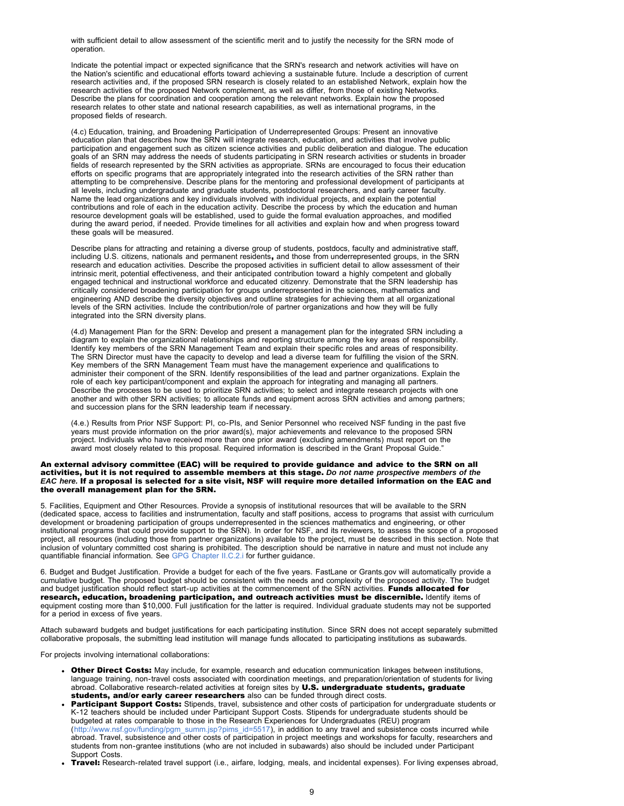with sufficient detail to allow assessment of the scientific merit and to justify the necessity for the SRN mode of operation.

Indicate the potential impact or expected significance that the SRN's research and network activities will have on the Nation's scientific and educational efforts toward achieving a sustainable future. Include a description of current research activities and, if the proposed SRN research is closely related to an established Network, explain how the research activities of the proposed Network complement, as well as differ, from those of existing Networks. Describe the plans for coordination and cooperation among the relevant networks. Explain how the proposed research relates to other state and national research capabilities, as well as international programs, in the proposed fields of research.

(4.c) Education, training, and Broadening Participation of Underrepresented Groups: Present an innovative education plan that describes how the SRN will integrate research, education, and activities that involve public participation and engagement such as citizen science activities and public deliberation and dialogue. The education goals of an SRN may address the needs of students participating in SRN research activities or students in broader fields of research represented by the SRN activities as appropriate. SRNs are encouraged to focus their education efforts on specific programs that are appropriately integrated into the research activities of the SRN rather than attempting to be comprehensive. Describe plans for the mentoring and professional development of participants at all levels, including undergraduate and graduate students, postdoctoral researchers, and early career faculty. Name the lead organizations and key individuals involved with individual projects, and explain the potential contributions and role of each in the education activity. Describe the process by which the education and human resource development goals will be established, used to guide the formal evaluation approaches, and modified during the award period, if needed. Provide timelines for all activities and explain how and when progress toward these goals will be measured.

Describe plans for attracting and retaining a diverse group of students, postdocs, faculty and administrative staff, including U.S. citizens, nationals and permanent residents, and those from underrepresented groups, in the SRN research and education activities. Describe the proposed activities in sufficient detail to allow assessment of their intrinsic merit, potential effectiveness, and their anticipated contribution toward a highly competent and globally engaged technical and instructional workforce and educated citizenry. Demonstrate that the SRN leadership has critically considered broadening participation for groups underrepresented in the sciences, mathematics and engineering AND describe the diversity objectives and outline strategies for achieving them at all organizational levels of the SRN activities. Include the contribution/role of partner organizations and how they will be fully integrated into the SRN diversity plans.

(4.d) Management Plan for the SRN: Develop and present a management plan for the integrated SRN including a diagram to explain the organizational relationships and reporting structure among the key areas of responsibility. Identify key members of the SRN Management Team and explain their specific roles and areas of responsibility. The SRN Director must have the capacity to develop and lead a diverse team for fulfilling the vision of the SRN. Key members of the SRN Management Team must have the management experience and qualifications to administer their component of the SRN. Identify responsibilities of the lead and partner organizations. Explain the role of each key participant/component and explain the approach for integrating and managing all partners. Describe the processes to be used to prioritize SRN activities; to select and integrate research projects with one another and with other SRN activities; to allocate funds and equipment across SRN activities and among partners; and succession plans for the SRN leadership team if necessary.

(4.e.) Results from Prior NSF Support: PI, co-PIs, and Senior Personnel who received NSF funding in the past five years must provide information on the prior award(s), major achievements and relevance to the proposed SRN project. Individuals who have received more than one prior award (excluding amendments) must report on the award most closely related to this proposal. Required information is described in the Grant Proposal Guide."

#### An external advisory committee (EAC) will be required to provide guidance and advice to the SRN on all activities, but it is not required to assemble members at this stage. *Do not name prospective members of the EAC here.* If a proposal is selected for a site visit, NSF will require more detailed information on the EAC and the overall management plan for the SRN.

5. Facilities, Equipment and Other Resources. Provide a synopsis of institutional resources that will be available to the SRN (dedicated space, access to facilities and instrumentation, faculty and staff positions, access to programs that assist with curriculum development or broadening participation of groups underrepresented in the sciences mathematics and engineering, or other institutional programs that could provide support to the SRN). In order for NSF, and its reviewers, to assess the scope of a proposed project, all resources (including those from partner organizations) available to the project, must be described in this section. Note that inclusion of voluntary committed cost sharing is prohibited. The description should be narrative in nature and must not include any quantifiable financial information. See [GPG Chapter II.C.2.i](http://www.nsf.gov/pubs/policydocs/pappguide/nsf11001/gpg_2.jsp#IIC2i) for further guidance.

6. Budget and Budget Justification. Provide a budget for each of the five years. FastLane or Grants.gov will automatically provide a cumulative budget. The proposed budget should be consistent with the needs and complexity of the proposed activity. The budget and budget justification should reflect start-up activities at the commencement of the SRN activities. Funds allocated for research, education, broadening participation, and outreach activities must be discernible. Identify items of equipment costing more than \$10,000. Full justification for the latter is required. Individual graduate students may not be supported for a period in excess of five years.

Attach subaward budgets and budget justifications for each participating institution. Since SRN does not accept separately submitted collaborative proposals, the submitting lead institution will manage funds allocated to participating institutions as subawards.

For projects involving international collaborations:

- Other Direct Costs: May include, for example, research and education communication linkages between institutions, language training, non-travel costs associated with coordination meetings, and preparation/orientation of students for living abroad. Collaborative research-related activities at foreign sites by U.S. undergraduate students, graduate students, and/or early career researchers also can be funded through direct costs.
- Participant Support Costs: Stipends, travel, subsistence and other costs of participation for undergraduate students or K-12 teachers should be included under Participant Support Costs. Stipends for undergraduate students should be budgeted at rates comparable to those in the Research Experiences for Undergraduates (REU) program ([http://www.nsf.gov/funding/pgm\\_summ.jsp?pims\\_id=5517\)](http://www.nsf.gov/funding/pgm_summ.jsp?pims_id=5517), in addition to any travel and subsistence costs incurred while abroad. Travel, subsistence and other costs of participation in project meetings and workshops for faculty, researchers and students from non-grantee institutions (who are not included in subawards) also should be included under Participant Support Costs.
- Travel: Research-related travel support (i.e., airfare, lodging, meals, and incidental expenses). For living expenses abroad,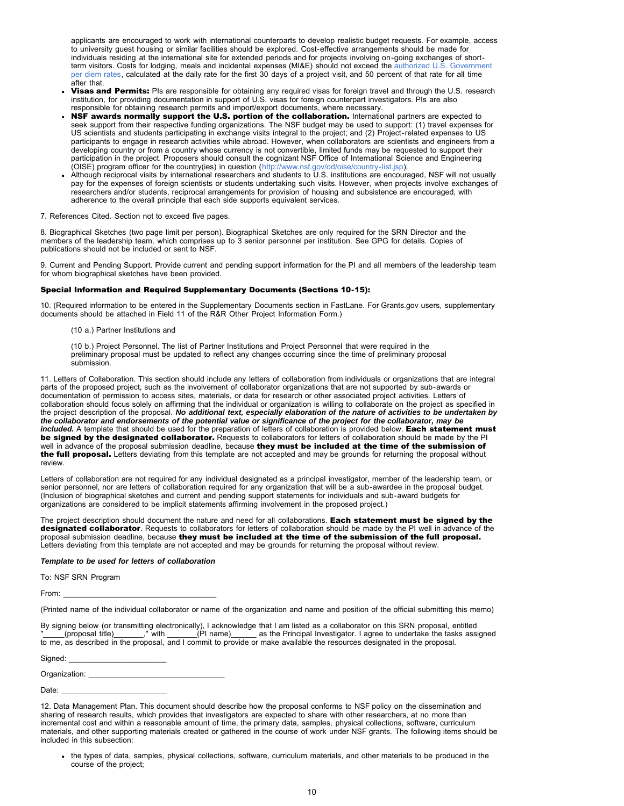applicants are encouraged to work with international counterparts to develop realistic budget requests. For example, access to university guest housing or similar facilities should be explored. Cost-effective arrangements should be made for individuals residing at the international site for extended periods and for projects involving on-going exchanges of shortterm visitors. Costs for lodging, meals and incidental expenses (MI&E) should not exceed the [authorized U.S. Government](http://nsf-be-01.ad.nsf.govexchweb/bin/redir.asp?URL=http://aoprals.state.gov/content.asp?content_id=184) [per diem rates,](http://nsf-be-01.ad.nsf.govexchweb/bin/redir.asp?URL=http://aoprals.state.gov/content.asp?content_id=184) calculated at the daily rate for the first 30 days of a project visit, and 50 percent of that rate for all time after that.

- Visas and Permits: PIs are responsible for obtaining any required visas for foreign travel and through the U.S. research institution, for providing documentation in support of U.S. visas for foreign counterpart investigators. PIs are also responsible for obtaining research permits and import/export documents, where necessary.
- NSF awards normally support the U.S. portion of the collaboration. International partners are expected to seek support from their respective funding organizations. The NSF budget may be used to support: (1) travel expenses for US scientists and students participating in exchange visits integral to the project; and (2) Project-related expenses to US participants to engage in research activities while abroad. However, when collaborators are scientists and engineers from a developing country or from a country whose currency is not convertible, limited funds may be requested to support their participation in the project. Proposers should consult the cognizant NSF Office of International Science and Engineering (OISE) program officer for the country(ies) in question (<http://www.nsf.gov/od/oise/country-list.jsp>).
- Although reciprocal visits by international researchers and students to U.S. institutions are encouraged, NSF will not usually pay for the expenses of foreign scientists or students undertaking such visits. However, when projects involve exchanges of researchers and/or students, reciprocal arrangements for provision of housing and subsistence are encouraged, with adherence to the overall principle that each side supports equivalent services.
- 7. References Cited. Section not to exceed five pages.

8. Biographical Sketches (two page limit per person). Biographical Sketches are only required for the SRN Director and the members of the leadership team, which comprises up to 3 senior personnel per institution. See GPG for details. Copies of publications should not be included or sent to NSF.

9. Current and Pending Support. Provide current and pending support information for the PI and all members of the leadership team for whom biographical sketches have been provided.

### Special Information and Required Supplementary Documents (Sections 10-15):

10. (Required information to be entered in the Supplementary Documents section in FastLane. For Grants.gov users, supplementary documents should be attached in Field 11 of the R&R Other Project Information Form.)

(10 a.) Partner Institutions and

(10 b.) Project Personnel. The list of Partner Institutions and Project Personnel that were required in the preliminary proposal must be updated to reflect any changes occurring since the time of preliminary proposal submission.

11. Letters of Collaboration. This section should include any letters of collaboration from individuals or organizations that are integral parts of the proposed project, such as the involvement of collaborator organizations that are not supported by sub-awards or documentation of permission to access sites, materials, or data for research or other associated project activities. Letters of collaboration should focus solely on affirming that the individual or organization is willing to collaborate on the project as specified in the project description of the proposal. *No additional text, especially elaboration of the nature of activities to be undertaken by the collaborator and endorsements of the potential value or significance of the project for the collaborator, may be* included. A template that should be used for the preparation of letters of collaboration is provided below. Each statement must be signed by the designated collaborator. Requests to collaborators for letters of collaboration should be made by the PI well in advance of the proposal submission deadline, because they must be included at the time of the submission of the full proposal. Letters deviating from this template are not accepted and may be grounds for returning the proposal without review.

Letters of collaboration are not required for any individual designated as a principal investigator, member of the leadership team, or senior personnel, nor are letters of collaboration required for any organization that will be a sub-awardee in the proposal budget. (Inclusion of biographical sketches and current and pending support statements for individuals and sub-award budgets for organizations are considered to be implicit statements affirming involvement in the proposed project.)

The project description should document the nature and need for all collaborations. Each statement must be signed by the designated collaborator. Requests to collaborators for letters of collaboration should be made by the PI well in advance of the proposal submission deadline, because they must be included at the time of the submission of the full proposal. Letters deviating from this template are not accepted and may be grounds for returning the proposal without review.

### *Template to be used for letters of collaboration*

To: NSF SRN Program

From: \_\_\_\_\_\_\_\_\_\_\_\_\_\_\_\_\_\_\_\_\_\_\_\_\_\_\_\_\_\_\_\_\_\_\_\_

(Printed name of the individual collaborator or name of the organization and name and position of the official submitting this memo)

By signing below (or transmitting electronically), I acknowledge that I am listed as a collaborator on this SRN proposal, entitled<br>"\_\_\_\_\_(proposal title)\_\_\_\_\_\_\_\_," with \_\_\_\_\_\_\_(PI name)\_\_\_\_\_\_\_ as the Principal Investigator \_ as the Principal Investigator. I agree to undertake the tasks assigned to me, as described in the proposal, and I commit to provide or make available the resources designated in the proposal.

Signed:

Organization:

Date:

<sup>12.</sup> Data Management Plan. This document should describe how the proposal conforms to NSF policy on the dissemination and sharing of research results, which provides that investigators are expected to share with other researchers, at no more than incremental cost and within a reasonable amount of time, the primary data, samples, physical collections, software, curriculum materials, and other supporting materials created or gathered in the course of work under NSF grants. The following items should be included in this subsection:

the types of data, samples, physical collections, software, curriculum materials, and other materials to be produced in the course of the project;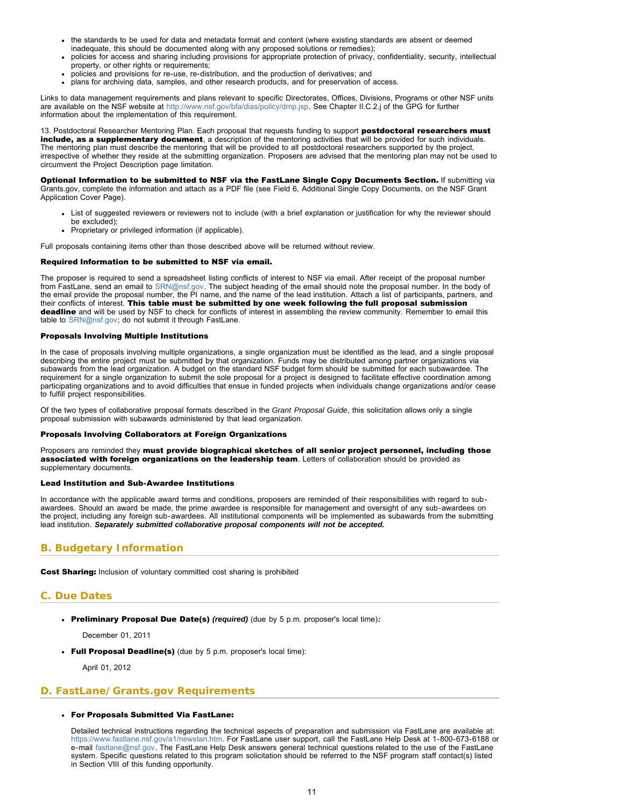- <span id="page-10-1"></span>the standards to be used for data and metadata format and content (where existing standards are absent or deemed inadequate, this should be documented along with any proposed solutions or remedies);
- policies for access and sharing including provisions for appropriate protection of privacy, confidentiality, security, intellectual property, or other rights or requirements;
- policies and provisions for re-use, re-distribution, and the production of derivatives; and
- plans for archiving data, samples, and other research products, and for preservation of access.

Links to data management requirements and plans relevant to specific Directorates, Offices, Divisions, Programs or other NSF units are available on the NSF website at [http://www.nsf.gov/bfa/dias/policy/dmp.jsp.](http://www.nsf.gov/bfa/dias/policy/dmp.jsp) See Chapter II.C.2.j of the GPG for further information about the implementation of this requirement.

13. Postdoctoral Researcher Mentoring Plan. Each proposal that requests funding to support postdoctoral researchers must include, as a supplementary document, a description of the mentoring activities that will be provided for such individuals. The mentoring plan must describe the mentoring that will be provided to all postdoctoral researchers supported by the project, irrespective of whether they reside at the submitting organization. Proposers are advised that the mentoring plan may not be used to circumvent the Project Description page limitation.

Optional Information to be submitted to NSF via the FastLane Single Copy Documents Section. If submitting via Grants.gov, complete the information and attach as a PDF file (see Field 6, Additional Single Copy Documents, on the NSF Grant Application Cover Page).

- List of suggested reviewers or reviewers not to include (with a brief explanation or justification for why the reviewer should be excluded);
- Proprietary or privileged information (if applicable).

Full proposals containing items other than those described above will be returned without review.

#### Required Information to be submitted to NSF via email.

The proposer is required to send a spreadsheet listing conflicts of interest to NSF via email. After receipt of the proposal number from FastLane, send an email to [SRN@nsf.gov](mailto:SRN@nsf.gov). The subject heading of the email should note the proposal number. In the body of the email provide the proposal number, the PI name, and the name of the lead institution. Attach a list of participants, partners, and their conflicts of interest. This table must be submitted by one week following the full proposal submission deadline and will be used by NSF to check for conflicts of interest in assembling the review community. Remember to email this table to [SRN@nsf.gov;](mailto:SRN@nsf.gov) do not submit it through FastLane.

### Proposals Involving Multiple Institutions

In the case of proposals involving multiple organizations, a single organization must be identified as the lead, and a single proposal describing the entire project must be submitted by that organization. Funds may be distributed among partner organizations via subawards from the lead organization. A budget on the standard NSF budget form should be submitted for each subawardee. The requirement for a single organization to submit the sole proposal for a project is designed to facilitate effective coordination among participating organizations and to avoid difficulties that ensue in funded projects when individuals change organizations and/or cease to fulfill project responsibilities.

Of the two types of collaborative proposal formats described in the *Grant Proposal Guide*, this solicitation allows only a single proposal submission with subawards administered by that lead organization.

### Proposals Involving Collaborators at Foreign Organizations

Proposers are reminded they must provide biographical sketches of all senior project personnel, including those associated with foreign organizations on the leadership team. Letters of collaboration should be provided as supplementary documents.

#### Lead Institution and Sub-Awardee Institutions

In accordance with the applicable award terms and conditions, proposers are reminded of their responsibilities with regard to subawardees. Should an award be made, the prime awardee is responsible for management and oversight of any sub-awardees on the project, including any foreign sub-awardees. All institutional components will be implemented as subawards from the submitting lead institution. *Separately submitted collaborative proposal components will not be accepted.*

# <span id="page-10-0"></span>**B. Budgetary Information**

Cost Sharing: Inclusion of voluntary committed cost sharing is prohibited

# **C. Due Dates**

Preliminary Proposal Due Date(s) *(required)* (due by 5 p.m. proposer's local time)*:*

December 01, 2011

• Full Proposal Deadline(s) (due by 5 p.m. proposer's local time):

April 01, 2012

# <span id="page-10-2"></span>**D. FastLane/Grants.gov Requirements**

### For Proposals Submitted Via FastLane:

Detailed technical instructions regarding the technical aspects of preparation and submission via FastLane are available at: [https://www.fastlane.nsf.gov/a1/newstan.htm.](https://www.fastlane.nsf.gov/a1/newstan.htm) For FastLane user support, call the FastLane Help Desk at 1-800-673-6188 or e-mail [fastlane@nsf.gov.](mailto:fastlane@nsf.gov) The FastLane Help Desk answers general technical questions related to the use of the FastLane system. Specific questions related to this program solicitation should be referred to the NSF program staff contact(s) listed in Section VIII of this funding opportunity.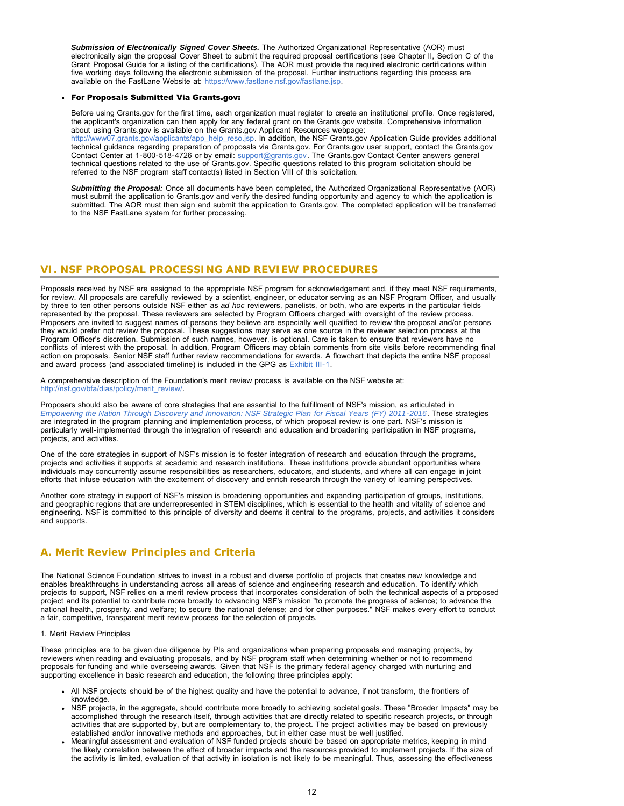*Submission of Electronically Signed Cover Sheets.* The Authorized Organizational Representative (AOR) must electronically sign the proposal Cover Sheet to submit the required proposal certifications (see Chapter II, Section C of the Grant Proposal Guide for a listing of the certifications). The AOR must provide the required electronic certifications within five working days following the electronic submission of the proposal. Further instructions regarding this process are available on the FastLane Website at: [https://www.fastlane.nsf.gov/fastlane.jsp.](https://www.fastlane.nsf.gov/fastlane.jsp)

### For Proposals Submitted Via Grants.gov:

Before using Grants.gov for the first time, each organization must register to create an institutional profile. Once registered, the applicant's organization can then apply for any federal grant on the Grants.gov website. Comprehensive information about using Grants.gov is available on the Grants.gov Applicant Resources webpage: [http://www07.grants.gov/applicants/app\\_help\\_reso.jsp.](http://www07.grants.gov/applicants/app_help_reso.jsp) In addition, the NSF Grants.gov Application Guide provides additional technical guidance regarding preparation of proposals via Grants.gov. For Grants.gov user support, contact the Grants.gov Contact Center at 1-800-518-4726 or by email: [support@grants.gov](mailto:support@grants.gov). The Grants.gov Contact Center answers general technical questions related to the use of Grants.gov. Specific questions related to this program solicitation should be referred to the NSF program staff contact(s) listed in Section VIII of this solicitation.

*Submitting the Proposal:* Once all documents have been completed, the Authorized Organizational Representative (AOR) must submit the application to Grants.gov and verify the desired funding opportunity and agency to which the application is submitted. The AOR must then sign and submit the application to Grants.gov. The completed application will be transferred to the NSF FastLane system for further processing.

# <span id="page-11-0"></span>**VI. NSF PROPOSAL PROCESSING AND REVIEW PROCEDURES**

Proposals received by NSF are assigned to the appropriate NSF program for acknowledgement and, if they meet NSF requirements, for review. All proposals are carefully reviewed by a scientist, engineer, or educator serving as an NSF Program Officer, and usually by three to ten other persons outside NSF either as *ad hoc* reviewers, panelists, or both, who are experts in the particular fields represented by the proposal. These reviewers are selected by Program Officers charged with oversight of the review process. Proposers are invited to suggest names of persons they believe are especially well qualified to review the proposal and/or persons they would prefer not review the proposal. These suggestions may serve as one source in the reviewer selection process at the Program Officer's discretion. Submission of such names, however, is optional. Care is taken to ensure that reviewers have no conflicts of interest with the proposal. In addition, Program Officers may obtain comments from site visits before recommending final action on proposals. Senior NSF staff further review recommendations for awards. A flowchart that depicts the entire NSF proposal and award process (and associated timeline) is included in the GPG as [Exhibit III-1.](http://www.nsf.gov/pubs/policydocs/pappguide/nsf13001/gpg_3ex1.pdf)

A comprehensive description of the Foundation's merit review process is available on the NSF website at: [http://nsf.gov/bfa/dias/policy/merit\\_review/.](http://nsf.gov/bfa/dias/policy/merit_review/)

Proposers should also be aware of core strategies that are essential to the fulfillment of NSF's mission, as articulated in *[Empowering the Nation Through Discovery and Innovation: NSF Strategic Plan for Fiscal Years \(FY\) 2011-2016](http://www.nsf.gov/news/strategicplan/nsfstrategicplan_2011_2016.pdf)*. These strategies are integrated in the program planning and implementation process, of which proposal review is one part. NSF's mission is particularly well-implemented through the integration of research and education and broadening participation in NSF programs, projects, and activities.

One of the core strategies in support of NSF's mission is to foster integration of research and education through the programs, projects and activities it supports at academic and research institutions. These institutions provide abundant opportunities where individuals may concurrently assume responsibilities as researchers, educators, and students, and where all can engage in joint efforts that infuse education with the excitement of discovery and enrich research through the variety of learning perspectives.

Another core strategy in support of NSF's mission is broadening opportunities and expanding participation of groups, institutions, and geographic regions that are underrepresented in STEM disciplines, which is essential to the health and vitality of science and engineering. NSF is committed to this principle of diversity and deems it central to the programs, projects, and activities it considers and supports.

# <span id="page-11-1"></span>**A. Merit Review Principles and Criteria**

The National Science Foundation strives to invest in a robust and diverse portfolio of projects that creates new knowledge and enables breakthroughs in understanding across all areas of science and engineering research and education. To identify which projects to support, NSF relies on a merit review process that incorporates consideration of both the technical aspects of a proposed project and its potential to contribute more broadly to advancing NSF's mission "to promote the progress of science; to advance the national health, prosperity, and welfare; to secure the national defense; and for other purposes." NSF makes every effort to conduct a fair, competitive, transparent merit review process for the selection of projects.

### 1. Merit Review Principles

These principles are to be given due diligence by PIs and organizations when preparing proposals and managing projects, by reviewers when reading and evaluating proposals, and by NSF program staff when determining whether or not to recommend proposals for funding and while overseeing awards. Given that NSF is the primary federal agency charged with nurturing and supporting excellence in basic research and education, the following three principles apply:

- All NSF projects should be of the highest quality and have the potential to advance, if not transform, the frontiers of knowledge
- NSF projects, in the aggregate, should contribute more broadly to achieving societal goals. These "Broader Impacts" may be accomplished through the research itself, through activities that are directly related to specific research projects, or through activities that are supported by, but are complementary to, the project. The project activities may be based on previously established and/or innovative methods and approaches, but in either case must be well justified.
- Meaningful assessment and evaluation of NSF funded projects should be based on appropriate metrics, keeping in mind the likely correlation between the effect of broader impacts and the resources provided to implement projects. If the size of the activity is limited, evaluation of that activity in isolation is not likely to be meaningful. Thus, assessing the effectiveness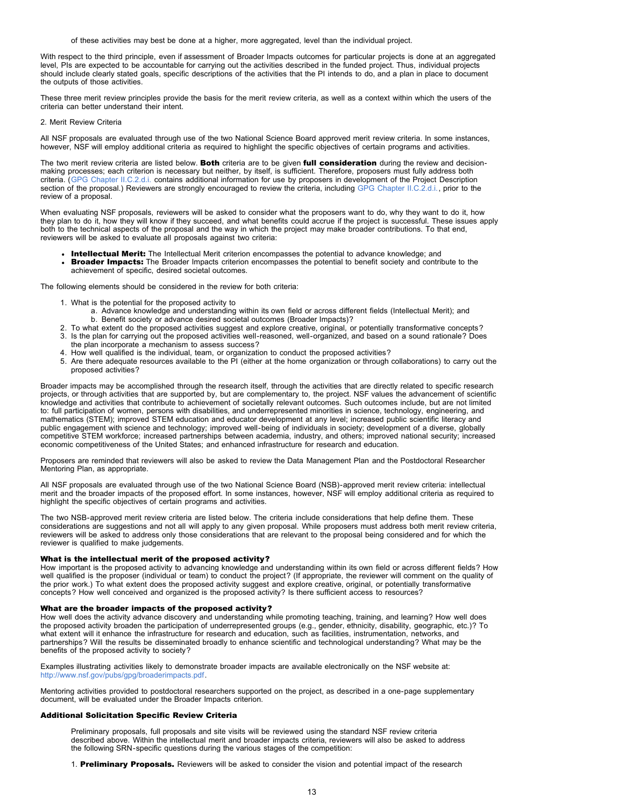of these activities may best be done at a higher, more aggregated, level than the individual project.

With respect to the third principle, even if assessment of Broader Impacts outcomes for particular projects is done at an aggregated level, PIs are expected to be accountable for carrying out the activities described in the funded project. Thus, individual projects should include clearly stated goals, specific descriptions of the activities that the PI intends to do, and a plan in place to document the outputs of those activities.

These three merit review principles provide the basis for the merit review criteria, as well as a context within which the users of the criteria can better understand their intent.

#### 2. Merit Review Criteria

All NSF proposals are evaluated through use of the two National Science Board approved merit review criteria. In some instances, however, NSF will employ additional criteria as required to highlight the specific objectives of certain programs and activities.

The two merit review criteria are listed below. Both criteria are to be given full consideration during the review and decisionmaking processes; each criterion is necessary but neither, by itself, is sufficient. Therefore, proposers must fully address both criteria. ([GPG Chapter II.C.2.d.i.](http://www.nsf.gov/pubs/policydocs/pappguide/nsf13001/gpg_2.jsp#IIC2di) contains additional information for use by proposers in development of the Project Description section of the proposal.) Reviewers are strongly encouraged to review the criteria, including [GPG Chapter II.C.2.d.i.,](http://www.nsf.gov/pubs/policydocs/pappguide/nsf13001/gpg_2.jsp#IIC2di) prior to the review of a proposal.

When evaluating NSF proposals, reviewers will be asked to consider what the proposers want to do, why they want to do it, how they plan to do it, how they will know if they succeed, and what benefits could accrue if the project is successful. These issues apply both to the technical aspects of the proposal and the way in which the project may make broader contributions. To that end, reviewers will be asked to evaluate all proposals against two criteria:

- Intellectual Merit: The Intellectual Merit criterion encompasses the potential to advance knowledge; and
- **Broader Impacts:** The Broader Impacts criterion encompasses the potential to benefit society and contribute to the achievement of specific, desired societal outcomes.

The following elements should be considered in the review for both criteria:

- 1. What is the potential for the proposed activity to
	- a. Advance knowledge and understanding within its own field or across different fields (Intellectual Merit); and b. Benefit society or advance desired societal outcomes (Broader Impacts)?
- 2. To what extent do the proposed activities suggest and explore creative, original, or potentially transformative concepts? 3. Is the plan for carrying out the proposed activities well-reasoned, well-organized, and based on a sound rationale? Does the plan incorporate a mechanism to assess success?
- 4. How well qualified is the individual, team, or organization to conduct the proposed activities?
- 5. Are there adequate resources available to the PI (either at the home organization or through collaborations) to carry out the proposed activities?

Broader impacts may be accomplished through the research itself, through the activities that are directly related to specific research projects, or through activities that are supported by, but are complementary to, the project. NSF values the advancement of scientific knowledge and activities that contribute to achievement of societally relevant outcomes. Such outcomes include, but are not limited to: full participation of women, persons with disabilities, and underrepresented minorities in science, technology, engineering, and mathematics (STEM); improved STEM education and educator development at any level; increased public scientific literacy and public engagement with science and technology; improved well-being of individuals in society; development of a diverse, globally competitive STEM workforce; increased partnerships between academia, industry, and others; improved national security; increased economic competitiveness of the United States; and enhanced infrastructure for research and education.

Proposers are reminded that reviewers will also be asked to review the Data Management Plan and the Postdoctoral Researcher Mentoring Plan, as appropriate.

All NSF proposals are evaluated through use of the two National Science Board (NSB)-approved merit review criteria: intellectual merit and the broader impacts of the proposed effort. In some instances, however, NSF will employ additional criteria as required to highlight the specific objectives of certain programs and activities.

The two NSB-approved merit review criteria are listed below. The criteria include considerations that help define them. These considerations are suggestions and not all will apply to any given proposal. While proposers must address both merit review criteria, reviewers will be asked to address only those considerations that are relevant to the proposal being considered and for which the reviewer is qualified to make judgements.

### What is the intellectual merit of the proposed activity?

How important is the proposed activity to advancing knowledge and understanding within its own field or across different fields? How well qualified is the proposer (individual or team) to conduct the project? (If appropriate, the reviewer will comment on the quality of the prior work.) To what extent does the proposed activity suggest and explore creative, original, or potentially transformative concepts? How well conceived and organized is the proposed activity? Is there sufficient access to resources?

#### What are the broader impacts of the proposed activity?

How well does the activity advance discovery and understanding while promoting teaching, training, and learning? How well does the proposed activity broaden the participation of underrepresented groups (e.g., gender, ethnicity, disability, geographic, etc.)? To what extent will it enhance the infrastructure for research and education, such as facilities, instrumentation, networks, and partnerships? Will the results be disseminated broadly to enhance scientific and technological understanding? What may be the benefits of the proposed activity to society?

Examples illustrating activities likely to demonstrate broader impacts are available electronically on the NSF website at: <http://www.nsf.gov/pubs/gpg/broaderimpacts.pdf>.

Mentoring activities provided to postdoctoral researchers supported on the project, as described in a one-page supplementary document, will be evaluated under the Broader Impacts criterion.

#### Additional Solicitation Specific Review Criteria

Preliminary proposals, full proposals and site visits will be reviewed using the standard NSF review criteria described above. Within the intellectual merit and broader impacts criteria, reviewers will also be asked to address the following SRN-specific questions during the various stages of the competition:

1. Preliminary Proposals. Reviewers will be asked to consider the vision and potential impact of the research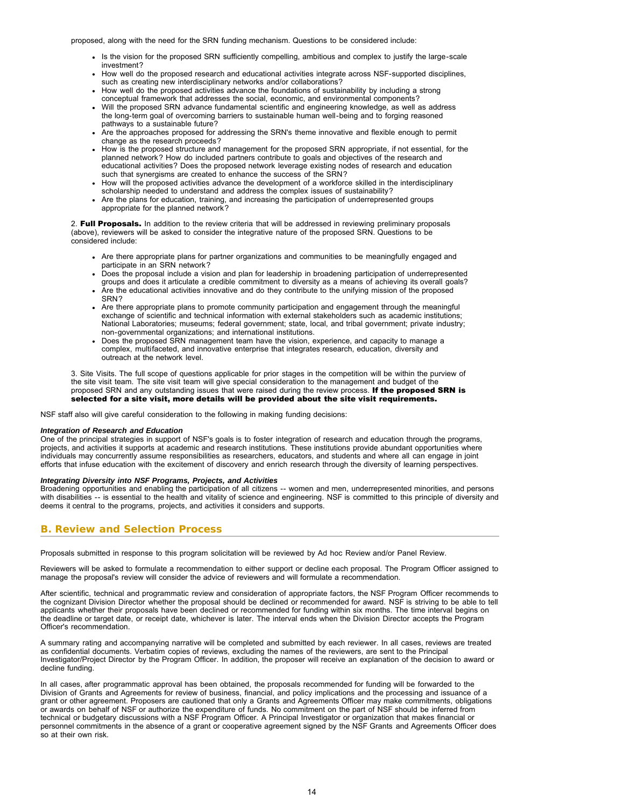proposed, along with the need for the SRN funding mechanism. Questions to be considered include:

- Is the vision for the proposed SRN sufficiently compelling, ambitious and complex to justify the large-scale investment?
- How well do the proposed research and educational activities integrate across NSF-supported disciplines, such as creating new interdisciplinary networks and/or collaborations?
- How well do the proposed activities advance the foundations of sustainability by including a strong conceptual framework that addresses the social, economic, and environmental components?
- Will the proposed SRN advance fundamental scientific and engineering knowledge, as well as address the long-term goal of overcoming barriers to sustainable human well-being and to forging reasoned pathways to a sustainable future?
- Are the approaches proposed for addressing the SRN's theme innovative and flexible enough to permit change as the research proceeds?
- How is the proposed structure and management for the proposed SRN appropriate, if not essential, for the planned network? How do included partners contribute to goals and objectives of the research and educational activities? Does the proposed network leverage existing nodes of research and education such that synergisms are created to enhance the success of the SRN?
- How will the proposed activities advance the development of a workforce skilled in the interdisciplinary scholarship needed to understand and address the complex issues of sustainability?
- Are the plans for education, training, and increasing the participation of underrepresented groups appropriate for the planned network?

2. Full Proposals. In addition to the review criteria that will be addressed in reviewing preliminary proposals (above), reviewers will be asked to consider the integrative nature of the proposed SRN. Questions to be considered include:

- Are there appropriate plans for partner organizations and communities to be meaningfully engaged and participate in an SRN network?
- Does the proposal include a vision and plan for leadership in broadening participation of underrepresented groups and does it articulate a credible commitment to diversity as a means of achieving its overall goals?
- Are the educational activities innovative and do they contribute to the unifying mission of the proposed SRN?
- Are there appropriate plans to promote community participation and engagement through the meaningful exchange of scientific and technical information with external stakeholders such as academic institutions; National Laboratories; museums; federal government; state, local, and tribal government; private industry; non-governmental organizations; and international institutions.
- Does the proposed SRN management team have the vision, experience, and capacity to manage a complex, multifaceted, and innovative enterprise that integrates research, education, diversity and outreach at the network level.

3. Site Visits. The full scope of questions applicable for prior stages in the competition will be within the purview of the site visit team. The site visit team will give special consideration to the management and budget of the proposed SRN and any outstanding issues that were raised during the review process. If the proposed SRN is selected for a site visit, more details will be provided about the site visit requirements.

NSF staff also will give careful consideration to the following in making funding decisions:

#### *Integration of Research and Education*

One of the principal strategies in support of NSF's goals is to foster integration of research and education through the programs, projects, and activities it supports at academic and research institutions. These institutions provide abundant opportunities where individuals may concurrently assume responsibilities as researchers, educators, and students and where all can engage in joint efforts that infuse education with the excitement of discovery and enrich research through the diversity of learning perspectives.

### *Integrating Diversity into NSF Programs, Projects, and Activities*

Broadening opportunities and enabling the participation of all citizens -- women and men, underrepresented minorities, and persons with disabilities -- is essential to the health and vitality of science and engineering. NSF is committed to this principle of diversity and deems it central to the programs, projects, and activities it considers and supports.

# <span id="page-13-0"></span>**B. Review and Selection Process**

Proposals submitted in response to this program solicitation will be reviewed by Ad hoc Review and/or Panel Review.

Reviewers will be asked to formulate a recommendation to either support or decline each proposal. The Program Officer assigned to manage the proposal's review will consider the advice of reviewers and will formulate a recommendation.

After scientific, technical and programmatic review and consideration of appropriate factors, the NSF Program Officer recommends to the cognizant Division Director whether the proposal should be declined or recommended for award. NSF is striving to be able to tell applicants whether their proposals have been declined or recommended for funding within six months. The time interval begins on the deadline or target date, or receipt date, whichever is later. The interval ends when the Division Director accepts the Program Officer's recommendation.

A summary rating and accompanying narrative will be completed and submitted by each reviewer. In all cases, reviews are treated as confidential documents. Verbatim copies of reviews, excluding the names of the reviewers, are sent to the Principal Investigator/Project Director by the Program Officer. In addition, the proposer will receive an explanation of the decision to award or decline funding.

In all cases, after programmatic approval has been obtained, the proposals recommended for funding will be forwarded to the Division of Grants and Agreements for review of business, financial, and policy implications and the processing and issuance of a grant or other agreement. Proposers are cautioned that only a Grants and Agreements Officer may make commitments, obligations or awards on behalf of NSF or authorize the expenditure of funds. No commitment on the part of NSF should be inferred from technical or budgetary discussions with a NSF Program Officer. A Principal Investigator or organization that makes financial or personnel commitments in the absence of a grant or cooperative agreement signed by the NSF Grants and Agreements Officer does so at their own risk.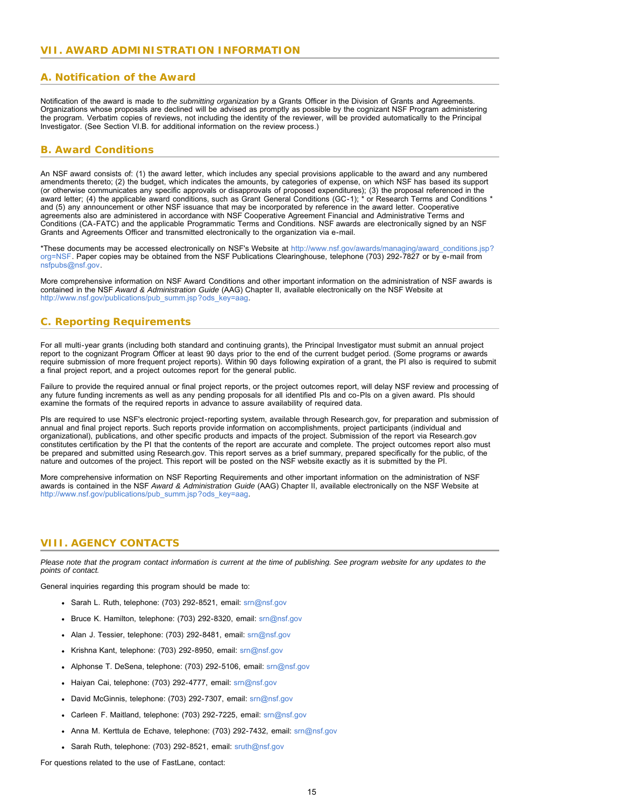# <span id="page-14-1"></span><span id="page-14-0"></span>**A. Notification of the Award**

Notification of the award is made to *the submitting organization* by a Grants Officer in the Division of Grants and Agreements. Organizations whose proposals are declined will be advised as promptly as possible by the cognizant NSF Program administering the program. Verbatim copies of reviews, not including the identity of the reviewer, will be provided automatically to the Principal Investigator. (See Section VI.B. for additional information on the review process.)

# <span id="page-14-2"></span>**B. Award Conditions**

An NSF award consists of: (1) the award letter, which includes any special provisions applicable to the award and any numbered amendments thereto; (2) the budget, which indicates the amounts, by categories of expense, on which NSF has based its support (or otherwise communicates any specific approvals or disapprovals of proposed expenditures); (3) the proposal referenced in the award letter; (4) the applicable award conditions, such as Grant General Conditions (GC-1); \* or Research Terms and Conditions \* and (5) any announcement or other NSF issuance that may be incorporated by reference in the award letter. Cooperative agreements also are administered in accordance with NSF Cooperative Agreement Financial and Administrative Terms and Conditions (CA-FATC) and the applicable Programmatic Terms and Conditions. NSF awards are electronically signed by an NSF Grants and Agreements Officer and transmitted electronically to the organization via e-mail.

\*These documents may be accessed electronically on NSF's Website at [http://www.nsf.gov/awards/managing/award\\_conditions.jsp?](http://www.nsf.gov/awards/managing/award_conditions.jsp?org=NSF) [org=NSF.](http://www.nsf.gov/awards/managing/award_conditions.jsp?org=NSF) Paper copies may be obtained from the NSF Publications Clearinghouse, telephone (703) 292-7827 or by e-mail from [nsfpubs@nsf.gov.](mailto:nsfpubs@nsf.gov)

More comprehensive information on NSF Award Conditions and other important information on the administration of NSF awards is contained in the NSF *Award & Administration Guide* (AAG) Chapter II, available electronically on the NSF Website at [http://www.nsf.gov/publications/pub\\_summ.jsp?ods\\_key=aag.](http://www.nsf.gov/publications/pub_summ.jsp?ods_key=aag)

# <span id="page-14-3"></span>**C. Reporting Requirements**

For all multi-year grants (including both standard and continuing grants), the Principal Investigator must submit an annual project report to the cognizant Program Officer at least 90 days prior to the end of the current budget period. (Some programs or awards require submission of more frequent project reports). Within 90 days following expiration of a grant, the PI also is required to submit a final project report, and a project outcomes report for the general public.

Failure to provide the required annual or final project reports, or the project outcomes report, will delay NSF review and processing of any future funding increments as well as any pending proposals for all identified PIs and co-PIs on a given award. PIs should examine the formats of the required reports in advance to assure availability of required data.

PIs are required to use NSF's electronic project-reporting system, available through Research.gov, for preparation and submission of annual and final project reports. Such reports provide information on accomplishments, project participants (individual and organizational), publications, and other specific products and impacts of the project. Submission of the report via Research.gov constitutes certification by the PI that the contents of the report are accurate and complete. The project outcomes report also must be prepared and submitted using Research.gov. This report serves as a brief summary, prepared specifically for the public, of the nature and outcomes of the project. This report will be posted on the NSF website exactly as it is submitted by the PI.

More comprehensive information on NSF Reporting Requirements and other important information on the administration of NSF awards is contained in the NSF *Award & Administration Guide* (AAG) Chapter II, available electronically on the NSF Website at [http://www.nsf.gov/publications/pub\\_summ.jsp?ods\\_key=aag.](http://www.nsf.gov/publications/pub_summ.jsp?ods_key=aag)

# <span id="page-14-4"></span>**VIII. AGENCY CONTACTS**

*Please note that the program contact information is current at the time of publishing. See program website for any updates to the points of contact.*

General inquiries regarding this program should be made to:

- Sarah L. Ruth, telephone: (703) 292-8521, email: [srn@nsf.gov](mailto:srn@nsf.gov)
- Bruce K. Hamilton, telephone: (703) 292-8320, email: [srn@nsf.gov](mailto:srn@nsf.gov)
- Alan J. Tessier, telephone: (703) 292-8481, email: [srn@nsf.gov](mailto:srn@nsf.gov)
- Krishna Kant, telephone: (703) 292-8950, email: [srn@nsf.gov](mailto:srn@nsf.gov)
- Alphonse T. DeSena, telephone: (703) 292-5106, email: [srn@nsf.gov](mailto:srn@nsf.gov)
- Haiyan Cai, telephone: (703) 292-4777, email: [srn@nsf.gov](mailto:srn@nsf.gov)
- David McGinnis, telephone: (703) 292-7307, email: [srn@nsf.gov](mailto:srn@nsf.gov)
- Carleen F. Maitland, telephone: (703) 292-7225, email: [srn@nsf.gov](mailto:srn@nsf.gov)
- Anna M. Kerttula de Echave, telephone: (703) 292-7432, email: [srn@nsf.gov](mailto:srn@nsf.gov)
- Sarah Ruth, telephone: (703) 292-8521, email: [sruth@nsf.gov](mailto:sruth@nsf.gov)

For questions related to the use of FastLane, contact: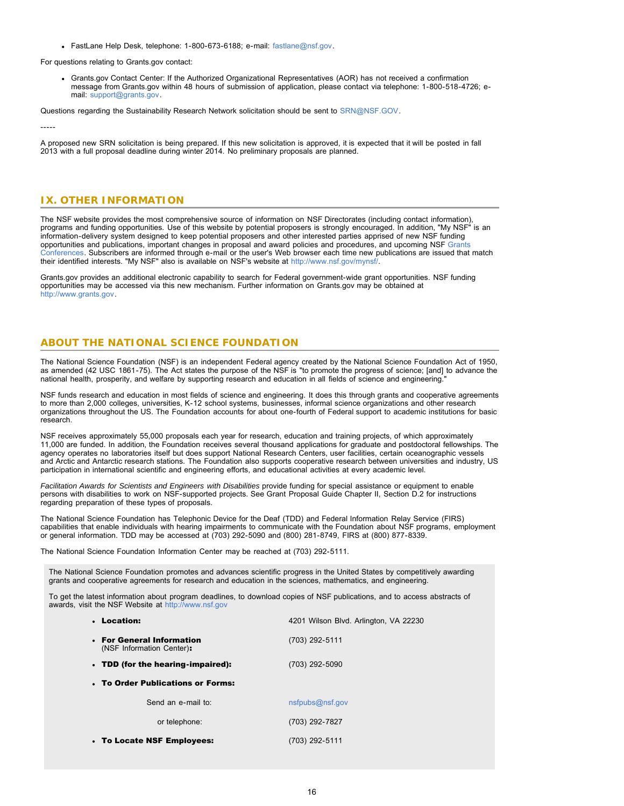FastLane Help Desk, telephone: 1-800-673-6188; e-mail: [fastlane@nsf.gov.](mailto:fastlane@nsf.gov)

For questions relating to Grants.gov contact:

Grants.gov Contact Center: If the Authorized Organizational Representatives (AOR) has not received a confirmation message from Grants.gov within 48 hours of submission of application, please contact via telephone: 1-800-518-4726; email: [support@grants.gov.](mailto:support@grants.gov)

Questions regarding the Sustainability Research Network solicitation should be sent to [SRN@NSF.GOV.](mailto:SRN@NSF.GOV)

-----

A proposed new SRN solicitation is being prepared. If this new solicitation is approved, it is expected that it will be posted in fall 2013 with a full proposal deadline during winter 2014. No preliminary proposals are planned.

# <span id="page-15-0"></span>**IX. OTHER INFORMATION**

The NSF website provides the most comprehensive source of information on NSF Directorates (including contact information), programs and funding opportunities. Use of this website by potential proposers is strongly encouraged. In addition, "My NSF" is an information-delivery system designed to keep potential proposers and other interested parties apprised of new NSF funding opportunities and publications, important changes in proposal and award policies and procedures, and upcoming NSF [Grants](http://www.nsf.gov/bfa/dias/policy/outreach.jsp) [Conferences.](http://www.nsf.gov/bfa/dias/policy/outreach.jsp) Subscribers are informed through e-mail or the user's Web browser each time new publications are issued that match their identified interests. "My NSF" also is available on NSF's website at [http://www.nsf.gov/mynsf/.](http://www.nsf.gov/mynsf/)

Grants.gov provides an additional electronic capability to search for Federal government-wide grant opportunities. NSF funding opportunities may be accessed via this new mechanism. Further information on Grants.gov may be obtained at [http://www.grants.gov.](http://www.grants.gov/)

# **ABOUT THE NATIONAL SCIENCE FOUNDATION**

The National Science Foundation (NSF) is an independent Federal agency created by the National Science Foundation Act of 1950, as amended (42 USC 1861-75). The Act states the purpose of the NSF is "to promote the progress of science; [and] to advance the national health, prosperity, and welfare by supporting research and education in all fields of science and engineering."

NSF funds research and education in most fields of science and engineering. It does this through grants and cooperative agreements to more than 2,000 colleges, universities, K-12 school systems, businesses, informal science organizations and other research organizations throughout the US. The Foundation accounts for about one-fourth of Federal support to academic institutions for basic research.

NSF receives approximately 55,000 proposals each year for research, education and training projects, of which approximately 11,000 are funded. In addition, the Foundation receives several thousand applications for graduate and postdoctoral fellowships. The agency operates no laboratories itself but does support National Research Centers, user facilities, certain oceanographic vessels and Arctic and Antarctic research stations. The Foundation also supports cooperative research between universities and industry, US participation in international scientific and engineering efforts, and educational activities at every academic level.

*Facilitation Awards for Scientists and Engineers with Disabilities* provide funding for special assistance or equipment to enable persons with disabilities to work on NSF-supported projects. See Grant Proposal Guide Chapter II, Section D.2 for instructions regarding preparation of these types of proposals.

The National Science Foundation has Telephonic Device for the Deaf (TDD) and Federal Information Relay Service (FIRS) capabilities that enable individuals with hearing impairments to communicate with the Foundation about NSF programs, employment or general information. TDD may be accessed at (703) 292-5090 and (800) 281-8749, FIRS at (800) 877-8339.

The National Science Foundation Information Center may be reached at (703) 292-5111.

The National Science Foundation promotes and advances scientific progress in the United States by competitively awarding grants and cooperative agreements for research and education in the sciences, mathematics, and engineering.

To get the latest information about program deadlines, to download copies of NSF publications, and to access abstracts of awards, visit the NSF Website at [http://www.nsf.gov](http://www.nsf.gov/)

| • Location:                                            | 4201 Wilson Blvd. Arlington, VA 22230 |
|--------------------------------------------------------|---------------------------------------|
| • For General Information<br>(NSF Information Center): | (703) 292-5111                        |
| • TDD (for the hearing-impaired):                      | (703) 292-5090                        |
| • To Order Publications or Forms:                      |                                       |
| Send an e-mail to:                                     | nsfpubs@nsf.gov                       |
| or telephone:                                          | (703) 292-7827                        |
| • To Locate NSF Employees:                             | (703) 292-5111                        |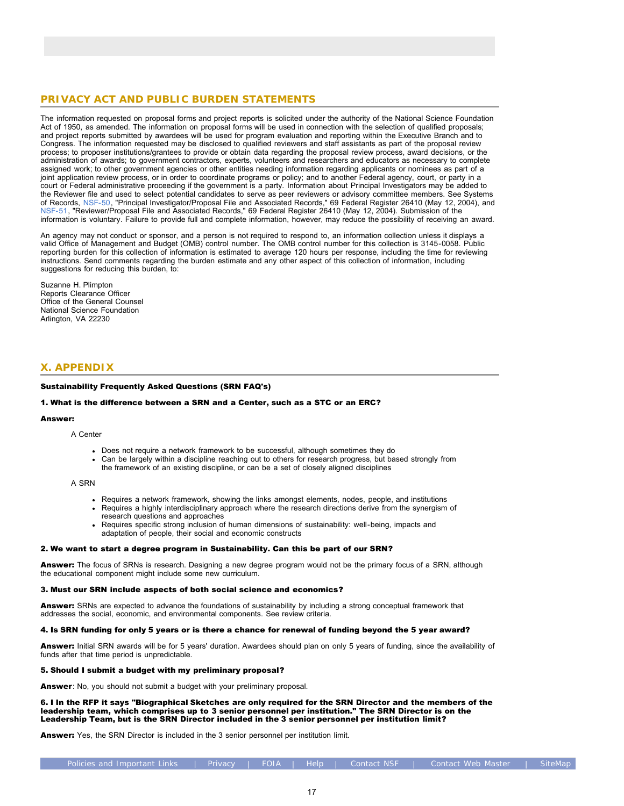# **PRIVACY ACT AND PUBLIC BURDEN STATEMENTS**

The information requested on proposal forms and project reports is solicited under the authority of the National Science Foundation Act of 1950, as amended. The information on proposal forms will be used in connection with the selection of qualified proposals; and project reports submitted by awardees will be used for program evaluation and reporting within the Executive Branch and to Congress. The information requested may be disclosed to qualified reviewers and staff assistants as part of the proposal review process; to proposer institutions/grantees to provide or obtain data regarding the proposal review process, award decisions, or the administration of awards; to government contractors, experts, volunteers and researchers and educators as necessary to complete assigned work; to other government agencies or other entities needing information regarding applicants or nominees as part of a joint application review process, or in order to coordinate programs or policy; and to another Federal agency, court, or party in a court or Federal administrative proceeding if the government is a party. Information about Principal Investigators may be added to the Reviewer file and used to select potential candidates to serve as peer reviewers or advisory committee members. See Systems of Records, [NSF-50,](http://www.nsf.gov/policies/SOR_PA_NSF-50_Principal_Investigator_Proposal_File.pdf) "Principal Investigator/Proposal File and Associated Records," 69 Federal Register 26410 (May 12, 2004), and [NSF-51,](http://www.nsf.gov/policies/SOR_PA_NSF-51_Reviewer_Proposal_File.pdf) "Reviewer/Proposal File and Associated Records," 69 Federal Register 26410 (May 12, 2004). Submission of the information is voluntary. Failure to provide full and complete information, however, may reduce the possibility of receiving an award.

An agency may not conduct or sponsor, and a person is not required to respond to, an information collection unless it displays a valid Office of Management and Budget (OMB) control number. The OMB control number for this collection is 3145-0058. Public reporting burden for this collection of information is estimated to average 120 hours per response, including the time for reviewing instructions. Send comments regarding the burden estimate and any other aspect of this collection of information, including suggestions for reducing this burden, to:

Suzanne H. Plimpton Reports Clearance Officer Office of the General Counsel National Science Foundation Arlington, VA 22230

# <span id="page-16-0"></span>**X. APPENDIX**

### Sustainability Frequently Asked Questions (SRN FAQ's)

### 1. What is the difference between a SRN and a Center, such as a STC or an ERC?

#### Answer:

A Center

- Does not require a network framework to be successful, although sometimes they do
- Can be largely within a discipline reaching out to others for research progress, but based strongly from the framework of an existing discipline, or can be a set of closely aligned disciplines

A SRN

- Requires a network framework, showing the links amongst elements, nodes, people, and institutions
- Requires a highly interdisciplinary approach where the research directions derive from the synergism of research questions and approaches
- Requires specific strong inclusion of human dimensions of sustainability: well-being, impacts and adaptation of people, their social and economic constructs

### 2. We want to start a degree program in Sustainability. Can this be part of our SRN?

Answer: The focus of SRNs is research. Designing a new degree program would not be the primary focus of a SRN, although the educational component might include some new curriculum.

#### 3. Must our SRN include aspects of both social science and economics?

Answer: SRNs are expected to advance the foundations of sustainability by including a strong conceptual framework that addresses the social, economic, and environmental components. See review criteria.

### 4. Is SRN funding for only 5 years or is there a chance for renewal of funding beyond the 5 year award?

Answer: Initial SRN awards will be for 5 years' duration. Awardees should plan on only 5 years of funding, since the availability of funds after that time period is unpredictable.

#### 5. Should I submit a budget with my preliminary proposal?

Answer: No, you should not submit a budget with your preliminary proposal.

6. I In the RFP it says "Biographical Sketches are only required for the SRN Director and the members of the leadership team, which comprises up to 3 senior personnel per institution." The SRN Director is on the Leadership Team, but is the SRN Director included in the 3 senior personnel per institution limit?

Answer: Yes, the SRN Director is included in the 3 senior personnel per institution limit.